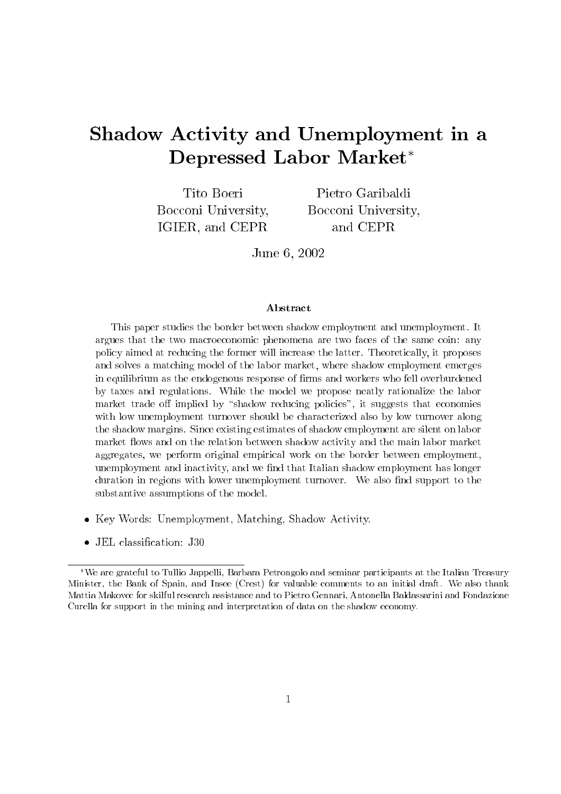# Shadow Activity and Unemployment in a Depressed Labor Market\*

Tito Boeri Bocconi University. IGIER, and CEPR

Pietro Garibaldi Bocconi University. and CEPR

June 6, 2002

### Abstract

This paper studies the border between shadow employment and unemployment. It argues that the two macroeconomic phenomena are two faces of the same coin: any policy aimed at reducing the former will increase the latter. Theoretically, it proposes and solves a matching model of the labor market, where shadow employment emerges in equilibrium as the endogenous response of firms and workers who fell overburdened by taxes and regulations. While the model we propose neatly rationalize the labor market trade off implied by "shadow reducing policies", it suggests that economies with low unemployment turnover should be characterized also by low turnover along the shadow margins. Since existing estimates of shadow employment are silent on labor market flows and on the relation between shadow activity and the main labor market aggregates, we perform original empirical work on the border between employment. unemployment and inactivity, and we find that Italian shadow employment has longer duration in regions with lower unemployment turnover. We also find support to the substantive assumptions of the model.

- Key Words: Unemployment, Matching, Shadow Activity.
- JEL classification: J30

<sup>\*</sup>We are grateful to Tullio Jappelli, Barbara Petrongolo and seminar participants at the Italian Treasury Minister, the Bank of Spain, and Insee (Crest) for valuable comments to an initial draft. We also thank Mattia Makovec for skilful research assistance and to Pietro Gennari, Antonella Baldassarini and Fondazione Curella for support in the mining and interpretation of data on the shadow economy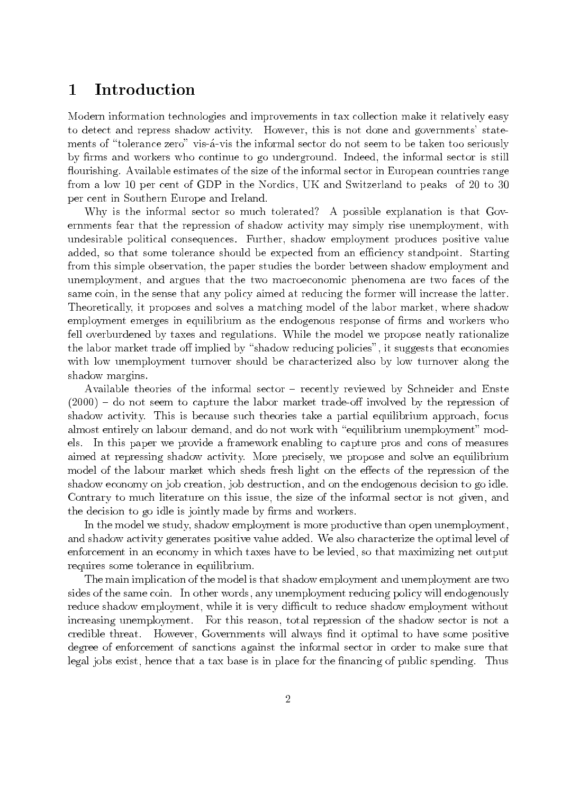### $\mathbf{1}$ **Introduction**

Modern information technologies and improvements in tax collection make it relatively easy to detect and repress shadow activity. However, this is not done and governments' statements of "tolerance zero" vis-a-vis the informal sector do not seem to be taken too seriously by firms and workers who continue to go underground. Indeed, the informal sector is still flourishing. Available estimates of the size of the informal sector in European countries range from a low 10 per cent of GDP in the Nordics, UK and Switzerland to peaks of 20 to 30 per cent in Southern Europe and Ireland.

Why is the informal sector so much tolerated? A possible explanation is that Governments fear that the repression of shadow activity may simply rise unemployment, with undesirable political consequences. Further, shadow employment produces positive value added, so that some tolerance should be expected from an efficiency standpoint. Starting from this simple observation, the paper studies the border between shadow employment and unemployment, and argues that the two macroeconomic phenomena are two faces of the same coin, in the sense that any policy aimed at reducing the former will increase the latter. Theoretically, it proposes and solves a matching model of the labor market, where shadow employment emerges in equilibrium as the endogenous response of firms and workers who fell overburdened by taxes and regulations. While the model we propose neatly rationalize the labor market trade off implied by "shadow reducing policies", it suggests that economies with low unemployment turnover should be characterized also by low turnover along the shadow margins.

Available theories of the informal sector – recently reviewed by Schneider and Enste  $(2000)$  – do not seem to capture the labor market trade-off involved by the repression of shadow activity. This is because such theories take a partial equilibrium approach, focus almost entirely on labour demand, and do not work with "equilibrium unemployment" models. In this paper we provide a framework enabling to capture pros and cons of measures aimed at repressing shadow activity. More precisely, we propose and solve an equilibrium model of the labour market which sheds fresh light on the effects of the repression of the shadow economy on job creation, job destruction, and on the endogenous decision to go idle. Contrary to much literature on this issue, the size of the informal sector is not given, and the decision to go idle is jointly made by firms and workers.

In the model we study, shadow employment is more productive than open unemployment, and shadow activity generates positive value added. We also characterize the optimal level of enforcement in an economy in which taxes have to be levied, so that maximizing net output requires some tolerance in equilibrium.

The main implication of the model is that shadow employment and unemployment are two sides of the same coin. In other words, any unemployment reducing policy will endogenously reduce shadow employment, while it is very difficult to reduce shadow employment without increasing unemployment. For this reason, total repression of the shadow sector is not a credible threat. However, Governments will always find it optimal to have some positive degree of enforcement of sanctions against the informal sector in order to make sure that legal jobs exist, hence that a tax base is in place for the financing of public spending. Thus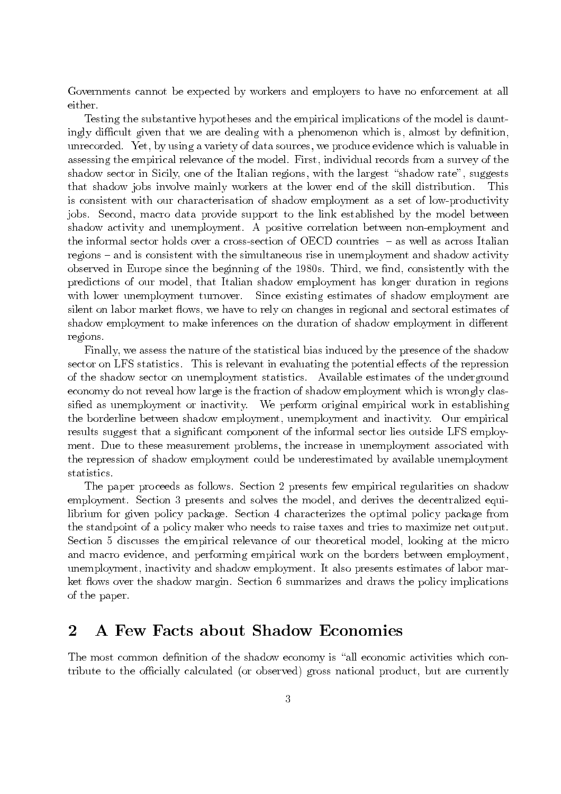Governments cannot be expected by workers and employers to have no enforcement at all either.

Testing the substantive hypotheses and the empirical implications of the model is dauntingly difficult given that we are dealing with a phenomenon which is, almost by definition, unrecorded. Yet, by using a variety of data sources, we produce evidence which is valuable in assessing the empirical relevance of the model. First, individual records from a survey of the shadow sector in Sicily, one of the Italian regions, with the largest "shadow rate", suggests that shadow jobs involve mainly workers at the lower end of the skill distribution. This is consistent with our characterisation of shadow employment as a set of low-productivity jobs. Second, macro data provide support to the link established by the model between shadow activity and unemployment. A positive correlation between non-employment and the informal sector holds over a cross-section of OECD countries  $-$  as well as across Italian regions – and is consistent with the simultaneous rise in unemployment and shadow activity observed in Europe since the beginning of the 1980s. Third, we find, consistently with the predictions of our model, that Italian shadow employment has longer duration in regions with lower unemployment turnover. Since existing estimates of shadow employment are silent on labor market flows, we have to rely on changes in regional and sectoral estimates of shadow employment to make inferences on the duration of shadow employment in different regions.

Finally, we assess the nature of the statistical bias induced by the presence of the shadow sector on LFS statistics. This is relevant in evaluating the potential effects of the repression of the shadow sector on unemployment statistics. Available estimates of the underground economy do not reveal how large is the fraction of shadow employment which is wrongly classified as unemployment or inactivity. We perform original empirical work in establishing the borderline between shadow employment, unemployment and inactivity. Our empirical results suggest that a significant component of the informal sector lies outside LFS employment. Due to these measurement problems, the increase in unemployment associated with the repression of shadow employment could be underestimated by available unemployment statistics.

The paper proceeds as follows. Section 2 presents few empirical regularities on shadow employment. Section 3 presents and solves the model, and derives the decentralized equilibrium for given policy package. Section 4 characterizes the optimal policy package from the standpoint of a policy maker who needs to raise taxes and tries to maximize net output. Section 5 discusses the empirical relevance of our theoretical model, looking at the micro and macro evidence, and performing empirical work on the borders between employment, unemployment, inactivity and shadow employment. It also presents estimates of labor market flows over the shadow margin. Section 6 summarizes and draws the policy implications of the paper.

### A Few Facts about Shadow Economies  $\bf{2}$

The most common definition of the shadow economy is "all economic activities which contribute to the officially calculated (or observed) gross national product, but are currently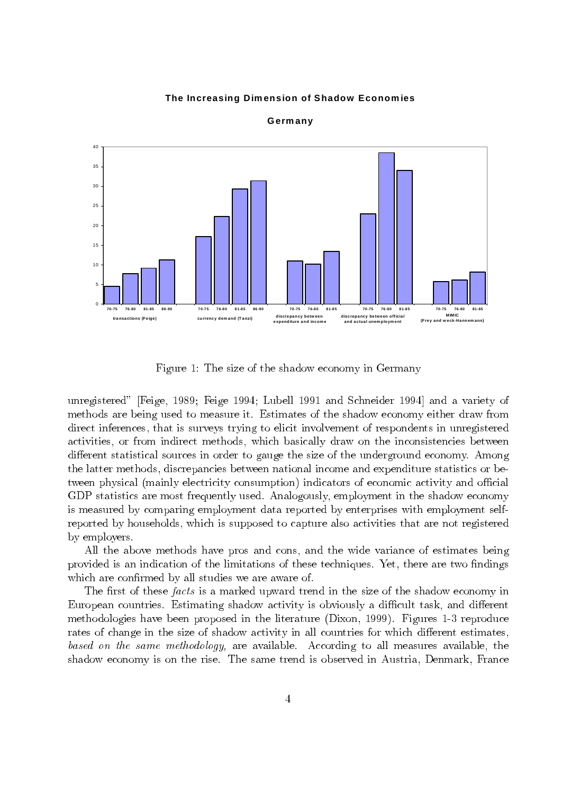### The Increasing Dimension of Shadow Economies



Germany

Figure 1: The size of the shadow economy in Germany

unregistered" [Feige, 1989; Feige 1994; Lubell 1991 and Schneider 1994] and a variety of methods are being used to measure it. Estimates of the shadow economy either draw from direct inferences, that is surveys trying to elicit involvement of respondents in unregistered activities, or from indirect methods, which basically draw on the inconsistencies between different statistical sources in order to gauge the size of the underground economy. Among the latter methods, discrepancies between national income and expenditure statistics or between physical (mainly electricity consumption) indicators of economic activity and official GDP statistics are most frequently used. Analogously, employment in the shadow economy is measured by comparing employment data reported by enterprises with employment selfreported by households, which is supposed to capture also activities that are not registered by employers.

All the above methods have pros and cons, and the wide variance of estimates being provided is an indication of the limitations of these techniques. Yet, there are two findings which are confirmed by all studies we are aware of.

The first of these facts is a marked upward trend in the size of the shadow economy in European countries. Estimating shadow activity is obviously a difficult task, and different methodologies have been proposed in the literature (Dixon, 1999). Figures 1-3 reproduce rates of change in the size of shadow activity in all countries for which different estimates, based on the same methodology, are available. According to all measures available, the shadow economy is on the rise. The same trend is observed in Austria, Denmark, France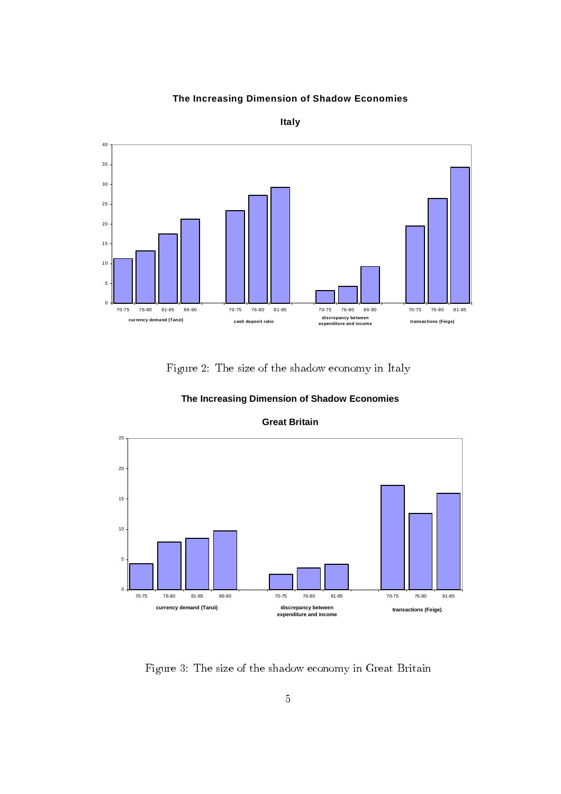### **The Increasing Dimension of Shadow Economies**



**Italy**

Figure 2: The size of the shadow economy in Italy



**The Increasing Dimension of Shadow Economies** 

Figure 3: The size of the shadow economy in Great Britain

### **Great Britain**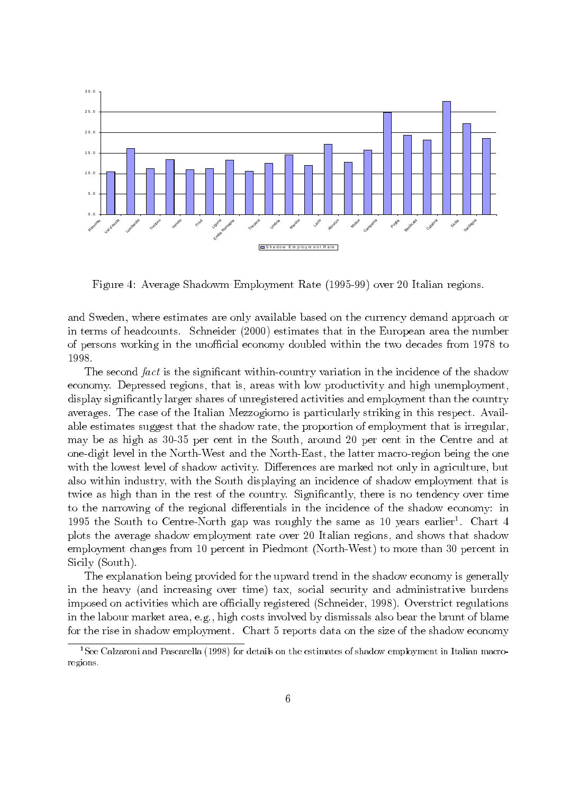

Figure 4: Average Shadowm Employment Rate (1995-99) over 20 Italian regions.

and Sweden, where estimates are only available based on the currency demand approach or in terms of headcounts. Schneider (2000) estimates that in the European area the number of persons working in the unofficial economy doubled within the two decades from 1978 to 1998.

The second *fact* is the significant within-country variation in the incidence of the shadow<br>nomy. Depressed regions, that is, areas with low productivity and high unemployment. economy. Depressed regions, that is, areas with low productivity and high unemployment, display significantly larger shares of unregistered activities and employment than the country averages. The case of the Italian Mezzogiorno is particularly striking in this respect. Available estimates suggest that the shadow rate, the proportion of employment that is irregular, may be as high as 30-35 per cent in the South, around 20 per cent in the Centre and at one-digit level in the North-West and the North-East, the latter macro-region being the one with the lowest level of shadow activity. Differences are marked not only in agriculture, but also within industry, with the South displaying an incidence of shadow employment that is twice as high than in the rest of the country. Significantly, there is no tendency over time to the narrowing of the regional differentials in the incidence of the shadow economy: in 1995 the South to Centre-North gap was roughly the same as 10 years earlie plots the average shadow employment rate over 20 Italian regions, and shows that shadow employment changes from 10 percent in Piedmont (North-West) to more than 30 percent in Sicily (South).

 $r<sup>1</sup>$ . Chart 4<br>that shadow<br> $0$  percent in<br>is generally<br>ive burdens<br>t regulations<br>unt of blame<br>ow economy<br>Italian macro-The explanation being provided for the upward trend in the shadow economy is generally in the heavy (and increasing over time) tax, social security and administrative burdens imposed on activities which are officially registered (Schneider, 1998). Overstrict regulations in the labour market area, e.g., high costs involved by dismissals also bear the brunt of blame for the rise in shadow employment. Chart  $5$  reports data on the size of the shadow economy

<sup>&</sup>lt;sup>1</sup>See Calzaroni and Pascarella (1998) for details on the estimates of shadow employment in Italian macroregions.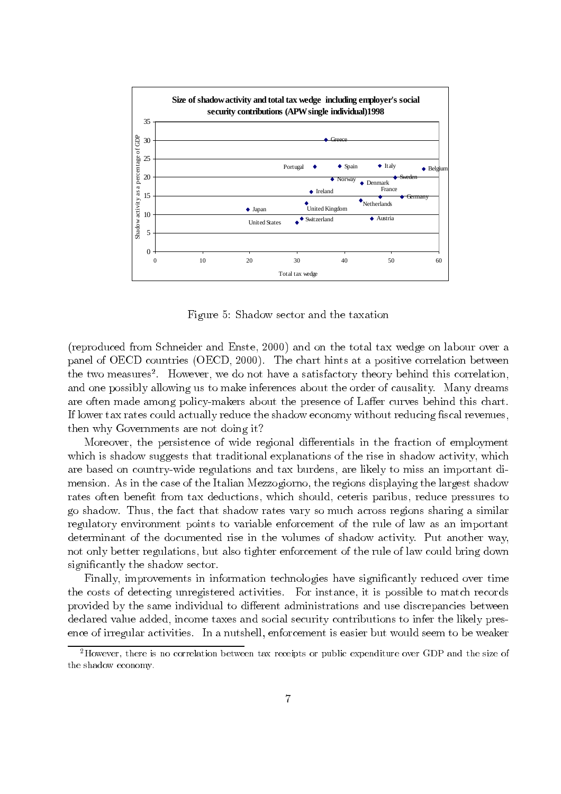

Figure 5: Shadow sector and the taxation

(reproduced from Schneider and Enste, 2000) and on the total tax wedge on labour over a panel of OECD countries (OECD, 2000). The chart hints at a positive correlation between the two measures<sup>2</sup>. However, we do not have a satisfactory theory behind this correlation, and one possibly allowing us to make inferences about the order of causality. Many dreams are often made among policy-makers about the presence of Laffer curves behind this chart. If lower tax rates could actually reduce the shadow economy without reducing fiscal revenues, then why Governments are not doing it?

 $\mathrm{s}^2$  a ur c nn e su mhe fit s, on he e su Moreover, the persistence of wide regional differentials in the fraction of employment which is shadow suggests that traditional explanations of the rise in shadow activity, which are based on country-wide regulations and tax burdens, are likely to miss an important dimension. As in the case of the Italian Mezzogiorno, the regions displaying the largest shadow rates often benefit from tax deductions, which should, ceteris paribus, reduce pressures to go shadow. Thus, the fact that shadow rates vary so much across regions sharing a similar regulatory environment points to variable enforcement of the rule of law as an important determinant of the documented rise in the volumes of shadow activity. Put another way, not only better regulations, but also tighter enforcement of the rule of law could bring down significantly the shadow sector.

Finally, improvements in information technologies have significantly reduced over time the costs of detecting unregistered activities. For instance, it is possible to match records provided by the same individual to different administrations and use discrepancies between declared value added, income taxes and social security contributions to infer the likely presence of irregular activities. In a nutshell, enforcement is easier but would seem to be weaker

 ${}^{2}$ However, there is no correlation between tax receipts or public expenditure over GDP and the size of the shadow economy.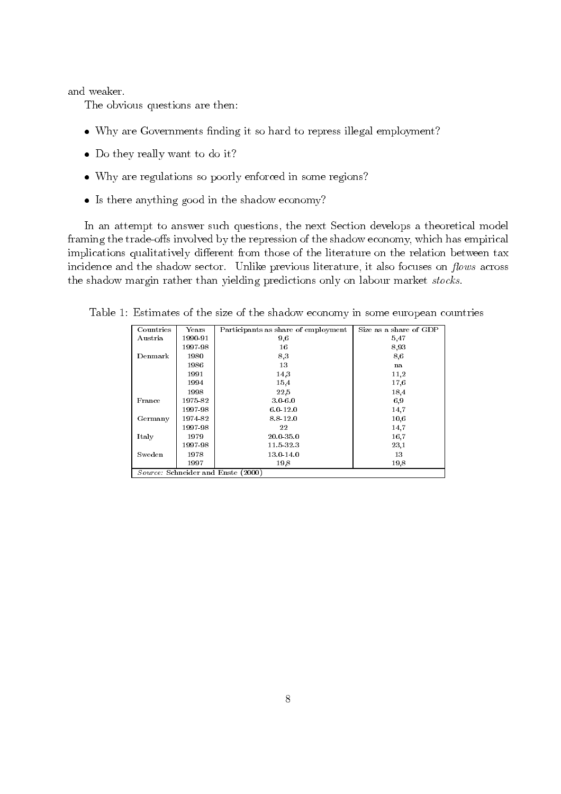and weaker.

The obvious questions are then:

- Why are Governments finding it so hard to repress illegal employment?
- Do they really want to do it?
- Why are regulations so poorly enforced in some regions?
- Is there anything good in the shadow economy?

In an attempt to answer such questions, the next Section develops a theoretical model framing the trade-offs involved by the repression of the shadow economy, which has empirical implications qualitatively different from those of the literature on the relation between tax incidence and the shadow sector. Unlike previous literature, it also focuses on flows across the shadow margin rather than yielding predictions only on labour market stocks.

| Countries                          | Years   | Participants as share of employment | Size as a share of GDP |  |  |  |  |  |
|------------------------------------|---------|-------------------------------------|------------------------|--|--|--|--|--|
| Austria                            | 1990-91 | 9,6                                 | 5,47                   |  |  |  |  |  |
|                                    | 1997-98 | 16                                  | 8,93                   |  |  |  |  |  |
| Denmark                            | 1980    | 8,3                                 | 8.6                    |  |  |  |  |  |
|                                    | 1986    | 13                                  | na                     |  |  |  |  |  |
|                                    | 1991    | 14,3                                | 11,2                   |  |  |  |  |  |
|                                    | 1994    | 15.4                                | 17,6                   |  |  |  |  |  |
|                                    | 1998    | 22.5                                | 18,4                   |  |  |  |  |  |
| France                             | 1975-82 | $3.0 - 6.0$                         | 6,9                    |  |  |  |  |  |
|                                    | 1997-98 | $6.0 - 12.0$                        | 14,7                   |  |  |  |  |  |
| Germany                            | 1974-82 | 8.8-12.0                            | 10,6                   |  |  |  |  |  |
|                                    | 1997-98 | 22                                  | 14,7                   |  |  |  |  |  |
| Italy                              | 1979    | 20.0-35.0                           | 16.7                   |  |  |  |  |  |
|                                    | 1997-98 | $11.5 - 32.3$                       | 23,1                   |  |  |  |  |  |
| Sweden                             | 1978    | 13.0-14.0                           | 13                     |  |  |  |  |  |
|                                    | 1997    | 19.8                                | 19.8                   |  |  |  |  |  |
| Source: Schneider and Enste (2000) |         |                                     |                        |  |  |  |  |  |

Table 1: Estimates of the size of the shadow economy in some european countries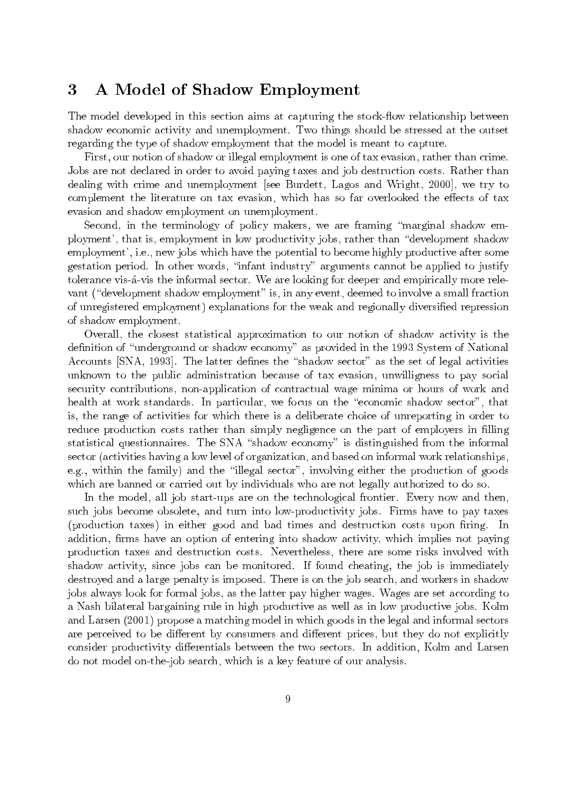### 3 A Model of Shadow Employment

The model developed in this section aims at capturing the stock-flow relationship between shadow economic activity and unemployment. Two things should be stressed at the outset regarding the type of shadow employment that the model is meant to capture.

First, our notion of shadow or illegal employment is one of tax evasion, rather than crime. Jobs are not declared in order to avoid paying taxes and job destruction costs. Rather than dealing with crime and unemployment [see Burdett, Lagos and Wright, 2000], we try to complement the literature on tax evasion, which has so far overlooked the effects of tax evasion and shadow employment on unemployment.

Second, in the terminology of policy makers, we are framing "marginal shadow employment', that is, employment in low productivity jobs, rather than "development shadow employment', i.e., new jobs which have the potential to become highly productive after some gestation period. In other words, "infant industry" arguments cannot be applied to justify tolerance vis-á-vis the informal sector. We are looking for deeper and empirically more relevant ("development shadow employment" is, in any event, deemed to involve a small fraction of unregistered employment) explanations for the weak and regionally diversified repression of shadow employment.

Overall, the closest statistical approximation to our notion of shadow activity is the definition of "underground or shadow economy" as provided in the 1993 System of National Accounts [SNA, 1993]. The latter defines the "shadow sector" as the set of legal activities unknown to the public administration because of tax evasion, unwilligness to pay social security contributions, non-application of contractual wage minima or hours of work and health at work standards. In particular, we focus on the "economic shadow sector", that is, the range of activities for which there is a deliberate choice of unreporting in order to reduce production costs rather than simply negligence on the part of employers in filling statistical questionnaires. The SNA "shadow economy" is distinguished from the informal sector (activities having a low level of organization, and based on informal work relationships, e.g., within the family) and the "illegal sector", involving either the production of goods which are banned or carried out by individuals who are not legally authorized to do so.

In the model, all job start-ups are on the technological frontier. Every now and then, such jobs become obsolete, and turn into low-productivity jobs. Firms have to pay taxes (production taxes) in either good and bad times and destruction costs upon firing. In addition, firms have an option of entering into shadow activity, which implies not paying production taxes and destruction costs. Nevertheless, there are some risks involved with shadow activity, since jobs can be monitored. If found cheating, the job is immediately destroyed and a large penalty is imposed. There is on the job search, and workers in shadow jobs always look for formal jobs, as the latter pay higher wages. Wages are set according to a Nash bilateral bargaining rule in high productive as well as in low productive jobs. Kolm and Larsen (2001) propose a matching model in which goods in the legal and informal sectors are perceived to be different by consumers and different prices, but they do not explicitly consider productivity differentials between the two sectors. In addition, Kolm and Larsen do not model on-the-job search, which is a key feature of our analysis.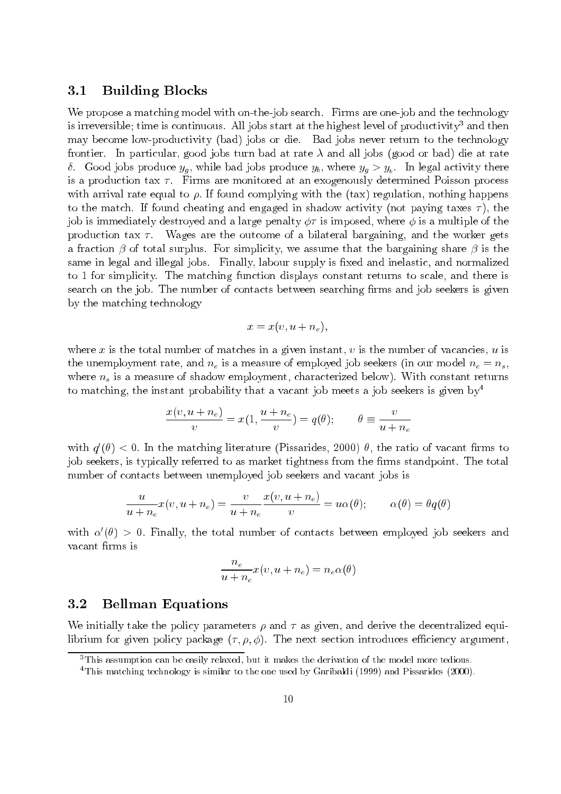#### $3.1$ **Building Blocks**

We propose a matching model with on-the-job search. Firms are one-job and the technology is irreversible; time is continuous. All jobs start at the highest level of productivity<sup>3</sup> and then may become low-productivity (bad) jobs or die. Bad jobs never return to the technology frontier. In particular, good jobs turn bad at rate  $\lambda$  and all jobs (good or bad) die at rate  $\delta$ . Good jobs produce  $y_q$ , while bad jobs produce  $y_b$ , where  $y_q > y_b$ . In legal activity there is a production tax  $\tau$ . Firms are monitored at an exogenously determined Poisson process with arrival rate equal to  $\rho$ . If found complying with the (tax) regulation, nothing happens to the match. If found cheating and engaged in shadow activity (not paying taxes  $\tau$ ), the job is immediately destroyed and a large penalty  $\phi\tau$  is imposed, where  $\phi$  is a multiple of the Wages are the outcome of a bilateral bargaining, and the worker gets production tax  $\tau$ . a fraction  $\beta$  of total surplus. For simplicity, we assume that the bargaining share  $\beta$  is the same in legal and illegal jobs. Finally, labour supply is fixed and inelastic, and normalized to 1 for simplicity. The matching function displays constant returns to scale, and there is search on the job. The number of contacts between searching firms and job seekers is given by the matching technology

$$
x = x(v, u + n_e),
$$

where x is the total number of matches in a given instant, v is the number of vacancies, u is the unemployment rate, and  $n_e$  is a measure of employed job seekers (in our model  $n_e = n_s$ , where  $n_s$  is a measure of shadow employment, characterized below). With constant returns to matching, the instant probability that a vacant job meets a job seekers is given by  $4$ 

$$
\frac{x(v, u + n_e)}{v} = x(1, \frac{u + n_e}{v}) = q(\theta); \qquad \theta \equiv \frac{v}{u + n_e}
$$

with  $q'(\theta) < 0$ . In the matching literature (Pissarides, 2000)  $\theta$ , the ratio of vacant firms to job seekers, is typically referred to as market tightness from the firms standpoint. The total number of contacts between unemployed job seekers and vacant jobs is

$$
\frac{u}{u+n_e}x(v, u+n_e) = \frac{v}{u+n_e}\frac{x(v, u+n_e)}{v} = u\alpha(\theta); \qquad \alpha(\theta) = \theta q(\theta)
$$

with  $\alpha'(\theta) > 0$ . Finally, the total number of contacts between employed job seekers and vacant firms is

$$
\frac{n_e}{u+n_e}x(v, u+n_e) = n_e\alpha(\theta)
$$

#### $3.2$ **Bellman Equations**

We initially take the policy parameters  $\rho$  and  $\tau$  as given, and derive the decentralized equilibrium for given policy package  $(\tau, \rho, \phi)$ . The next section introduces efficiency argument,

 $3$ This assumption can be easily relaxed, but it makes the derivation of the model more tedious.

<sup>&</sup>lt;sup>4</sup>This matching technology is similar to the one used by Garibaldi (1999) and Pissarides (2000).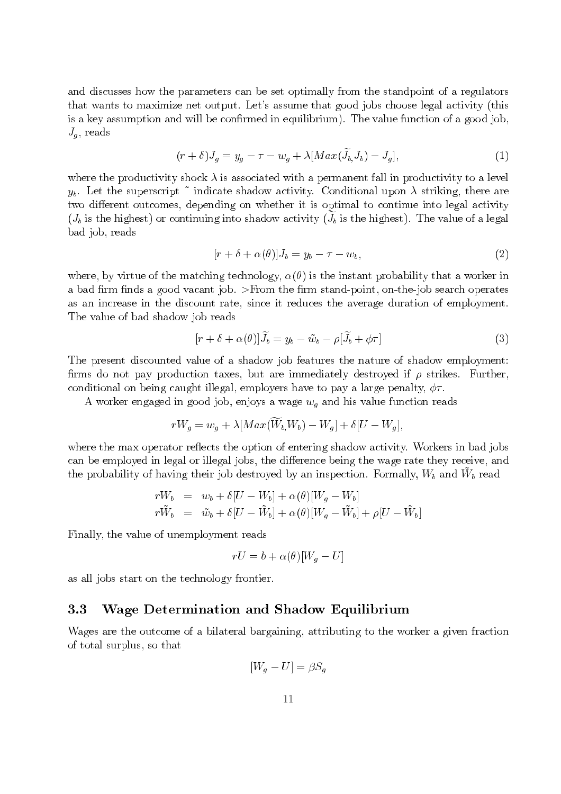and discusses how the parameters can be set optimally from the standpoint of a regulators that wants to maximize net output. Let's assume that good jobs choose legal activity (this is a key assumption and will be confirmed in equilibrium). The value function of a good job,  $J_q$ , reads

$$
(r+\delta)J_g = y_g - \tau - w_g + \lambda [Max(\widetilde{J}_b, J_b) - J_g],
$$
\n(1)

where the productivity shock  $\lambda$  is associated with a permanent fall in productivity to a level  $y_b$ . Let the superscript  $\tilde{ }$  indicate shadow activity. Conditional upon  $\lambda$  striking, there are two different outcomes, depending on whether it is optimal to continue into legal activity  $(J_b)$  is the highest) or continuing into shadow activity  $(J_b)$  is the highest). The value of a legal bad job, reads

$$
[r + \delta + \alpha(\theta)]J_b = y_b - \tau - w_b,\tag{2}
$$

where, by virtue of the matching technology,  $\alpha(\theta)$  is the instant probability that a worker in a bad firm finds a good vacant job. >From the firm stand-point, on-the-job search operates as an increase in the discount rate, since it reduces the average duration of employment. The value of bad shadow job reads

$$
[r + \delta + \alpha(\theta)]\tilde{J}_b = y_b - \tilde{w}_b - \rho[\tilde{J}_b + \phi\tau]
$$
\n(3)

The present discounted value of a shadow job features the nature of shadow employment: firms do not pay production taxes, but are immediately destroyed if  $\rho$  strikes. Further, conditional on being caught illegal, employers have to pay a large penalty,  $\phi\tau$ .

A worker engaged in good job, enjoys a wage  $w_g$  and his value function reads

$$
rW_g = w_g + \lambda [Max(\widetilde{W}_b, W_b) - W_g] + \delta [U - W_g],
$$

where the max operator reflects the option of entering shadow activity. Workers in bad jobs can be employed in legal or illegal jobs, the difference being the wage rate they receive, and the probability of having their job destroyed by an inspection. Formally,  $W_b$  and  $W_b$  read

$$
\begin{array}{rcl}\nrW_b & = & w_b + \delta[U - W_b] + \alpha(\theta)[W_g - W_b] \\
r\tilde{W}_b & = & \tilde{w}_b + \delta[U - \tilde{W}_b] + \alpha(\theta)[W_g - \tilde{W}_b] + \rho[U - \tilde{W}_b]\n\end{array}
$$

Finally, the value of unemployment reads

$$
rU = b + \alpha(\theta)[W_q - U]
$$

as all jobs start on the technology frontier.

#### Wage Determination and Shadow Equilibrium  $3.3$

Wages are the outcome of a bilateral bargaining, attributing to the worker a given fraction of total surplus, so that

$$
[W_g - U] = \beta S_g
$$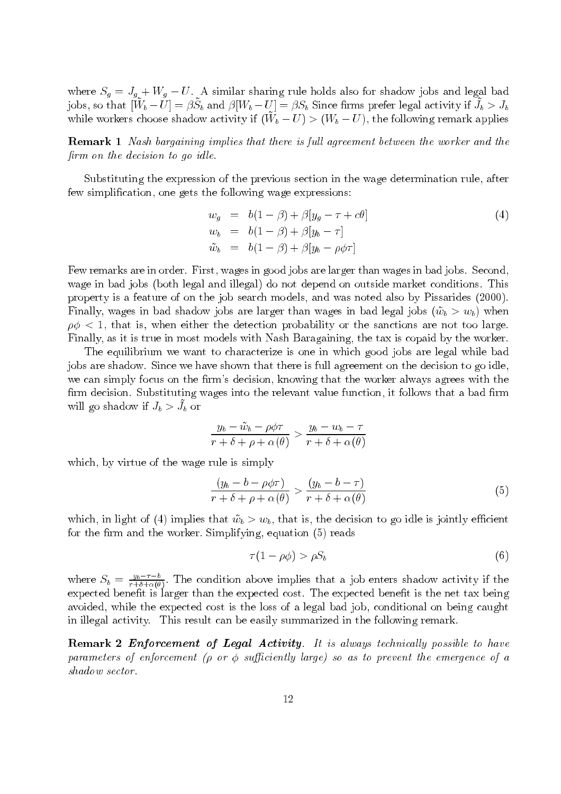where  $S_g = J_{g} + W_g - U$ . A similar sharing rule holds also for shadow jobs and legal bad jobs, so that  $[\tilde{W}_b - \tilde{U}] = \beta \tilde{S}_b$  and  $\beta[W_b - U] = \beta S_b$  Since firms prefer legal activity if  $\tilde{J}_b > J_b$ while workers choose shadow activity if  $(\tilde{W}_b - U) > (W_b - U)$ , the following remark applies

**Remark 1** Nash bargaining implies that there is full agreement between the worker and the firm on the decision to go idle.

Substituting the expression of the previous section in the wage determination rule, after few simplification, one gets the following wage expressions:

$$
w_g = b(1 - \beta) + \beta[y_g - \tau + c\theta]
$$
  
\n
$$
w_b = b(1 - \beta) + \beta[y_b - \tau]
$$
  
\n
$$
\tilde{w}_b = b(1 - \beta) + \beta[y_b - \rho\phi\tau]
$$
\n(4)

Few remarks are in order. First, wages in good jobs are larger than wages in bad jobs. Second, wage in bad jobs (both legal and illegal) do not depend on outside market conditions. This property is a feature of on the job search models, and was noted also by Pissarides (2000). Finally, wages in bad shadow jobs are larger than wages in bad legal jobs  $(\tilde{w}_h > w_h)$  when  $\rho\phi$  < 1, that is, when either the detection probability or the sanctions are not too large. Finally, as it is true in most models with Nash Baragaining, the tax is copaid by the worker.

The equilibrium we want to characterize is one in which good jobs are legal while bad jobs are shadow. Since we have shown that there is full agreement on the decision to go idle, we can simply focus on the firm's decision, knowing that the worker always agrees with the firm decision. Substituting wages into the relevant value function, it follows that a bad firm will go shadow if  $J_b > J_b$  or

$$
\frac{y_b - \tilde{w}_b - \rho \phi \tau}{r + \delta + \rho + \alpha(\theta)} > \frac{y_b - w_b - \tau}{r + \delta + \alpha(\theta)}
$$

which, by virtue of the wage rule is simply

$$
\frac{(y_b - b - \rho \phi \tau)}{r + \delta + \rho + \alpha(\theta)} > \frac{(y_b - b - \tau)}{r + \delta + \alpha(\theta)}\tag{5}
$$

which, in light of (4) implies that  $\tilde{w}_b > w_b$ , that is, the decision to go idle is jointly efficient for the firm and the worker. Simplifying, equation (5) reads

$$
\tau(1 - \rho \phi) > \rho S_b \tag{6}
$$

where  $S_b = \frac{y_b - \tau - b}{\tau + \delta + \alpha(\theta)}$ . The condition above implies that a job enters shadow activity if the expected benefit is larger than the expected cost. The expected benefit is the net tax being avoided, while the expected cost is the loss of a legal bad job, conditional on being caught in illegal activity. This result can be easily summarized in the following remark.

**Remark 2 Enforcement of Legal Activity.** It is always technically possible to have parameters of enforcement ( $\rho$  or  $\phi$  sufficiently large) so as to prevent the emergence of a shadow sector.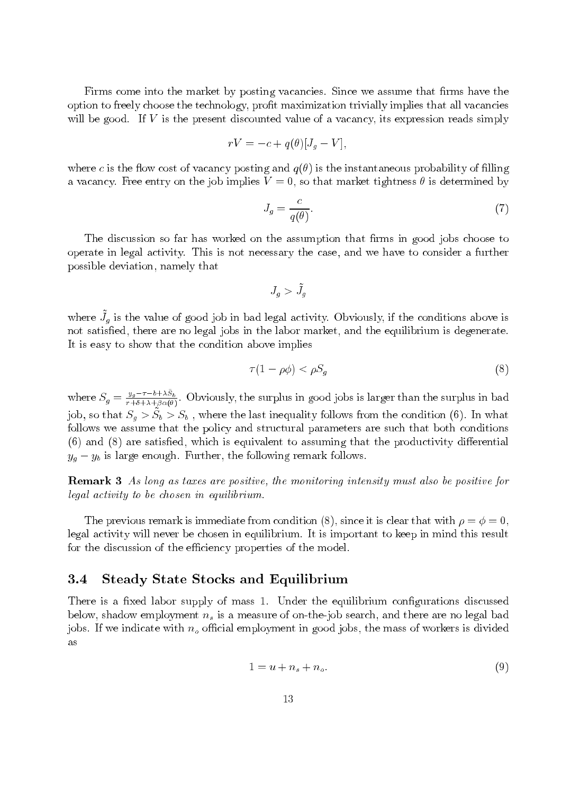Firms come into the market by posting vacancies. Since we assume that firms have the option to freely choose the technology, profit maximization trivially implies that all vacancies will be good. If  $V$  is the present discounted value of a vacancy, its expression reads simply

$$
rV = -c + q(\theta)[J_g - V],
$$

where c is the flow cost of vacancy posting and  $q(\theta)$  is the instantaneous probability of filling a vacancy. Free entry on the job implies  $V=0$ , so that market tightness  $\theta$  is determined by

$$
J_g = \frac{c}{q(\theta)}.\tag{7}
$$

The discussion so far has worked on the assumption that firms in good jobs choose to operate in legal activity. This is not necessary the case, and we have to consider a further possible deviation, namely that

$$
J_g > \tilde{J}_g
$$

where  $\tilde{J}_g$  is the value of good job in bad legal activity. Obviously, if the conditions above is not satisfied, there are no legal jobs in the labor market, and the equilibrium is degenerate. It is easy to show that the condition above implies

$$
\tau(1 - \rho \phi) < \rho S_g \tag{8}
$$

where  $S_g = \frac{y_g - \tau - b + \lambda \tilde{S}_b}{r + \delta + \lambda + \beta \alpha(\theta)}$ . Obviously, the surplus in good jobs is larger than the surplus in bad job, so that  $S_g > \tilde{S}_b > S_b$ , where the last inequality follows from the condition (6). In what follows we assume that the policy and structural parameters are such that both conditions  $(6)$  and  $(8)$  are satisfied, which is equivalent to assuming that the productivity differential  $y_q - y_b$  is large enough. Further, the following remark follows.

**Remark 3** As long as taxes are positive, the monitoring intensity must also be positive for legal activity to be chosen in equilibrium.

The previous remark is immediate from condition (8), since it is clear that with  $\rho = \phi = 0$ , legal activity will never be chosen in equilibrium. It is important to keep in mind this result for the discussion of the efficiency properties of the model.

#### 3.4 **Steady State Stocks and Equilibrium**

There is a fixed labor supply of mass 1. Under the equilibrium configurations discussed below, shadow employment  $n_s$  is a measure of on-the-job search, and there are no legal bad jobs. If we indicate with  $n<sub>o</sub>$  official employment in good jobs, the mass of workers is divided as

$$
1 = u + n_s + n_o. \tag{9}
$$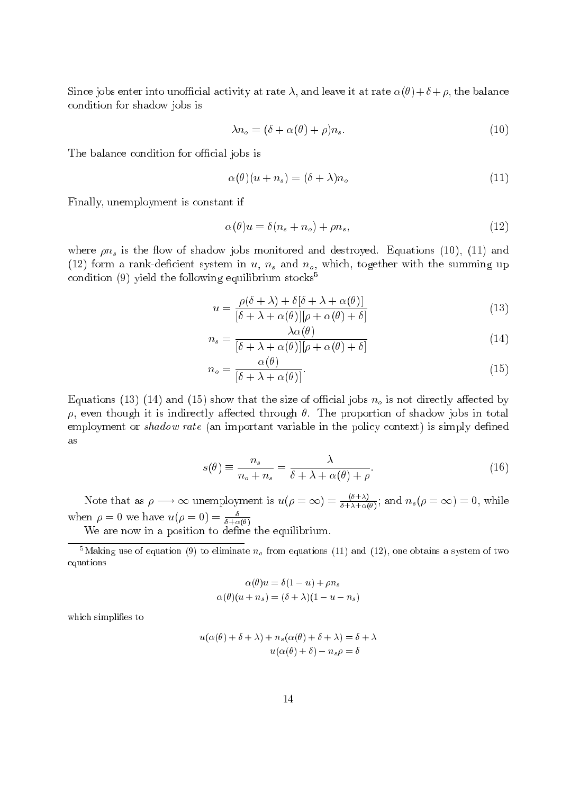Since jobs enter into unofficial activity at rate  $\lambda$ , and leave it at rate  $\alpha(\theta) + \delta + \rho$ , the balance condition for shadow jobs is

$$
\lambda n_o = (\delta + \alpha(\theta) + \rho) n_s. \tag{10}
$$

The balance condition for official jobs is

$$
\alpha(\theta)(u+n_s) = (\delta + \lambda)n_o \tag{11}
$$

Finally, unemployment is constant if

$$
\alpha(\theta)u = \delta(n_s + n_o) + \rho n_s,\tag{12}
$$

where  $\rho n_s$  is the flow of shadow jobs monitored and destroyed. Equations (10), (11) and (12) form a rank-deficient system in u,  $n_s$  and  $n_o$ , which, together with the summing up condition (9) yield the following equilibrium stocks<sup>5</sup>

$$
u = \frac{\rho(\delta + \lambda) + \delta[\delta + \lambda + \alpha(\theta)]}{[\delta + \lambda + \alpha(\theta)][\rho + \alpha(\theta) + \delta]}
$$
(13)

$$
n_s = \frac{\lambda \alpha(\theta)}{[\delta + \lambda + \alpha(\theta)][\rho + \alpha(\theta) + \delta]}
$$
(14)

$$
n_o = \frac{\alpha(\theta)}{\left[\delta + \lambda + \alpha(\theta)\right]}.\tag{15}
$$

Equations (13) (14) and (15) show that the size of official jobs  $n_0$  is not directly affected by  $\rho$ , even though it is indirectly affected through  $\theta$ . The proportion of shadow jobs in total employment or shadow rate (an important variable in the policy context) is simply defined as

$$
s(\theta) \equiv \frac{n_s}{n_o + n_s} = \frac{\lambda}{\delta + \lambda + \alpha(\theta) + \rho}.
$$
 (16)

Note that as  $\rho \longrightarrow \infty$  unemployment is  $u(\rho = \infty) = \frac{(\delta + \lambda)}{\delta + \lambda + \alpha(\theta)}$ ; and  $n_s(\rho = \infty) = 0$ , while when  $\rho = 0$  we have  $u(\rho = 0) = \frac{\delta}{\delta + \alpha(\theta)}$ 

We are now in a position to define the equilibrium.

<sup>5</sup>Making use of equation (9) to eliminate  $n<sub>o</sub>$  from equations (11) and (12), one obtains a system of two equations

$$
\alpha(\theta)u = \delta(1-u) + \rho n_s
$$

$$
\alpha(\theta)(u+n_s) = (\delta + \lambda)(1-u-n_s)
$$

which simplifies to

$$
u(\alpha(\theta) + \delta + \lambda) + n_s(\alpha(\theta) + \delta + \lambda) = \delta + \lambda
$$

$$
u(\alpha(\theta) + \delta) - n_s \rho = \delta
$$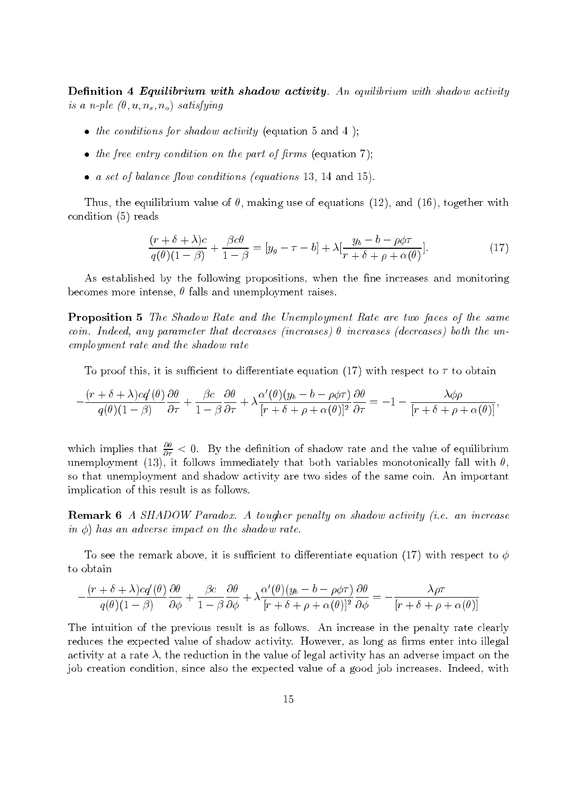**Definition 4 Equilibrium with shadow activity.** An equilibrium with shadow activity is a n-ple  $(\theta, u, n_s, n_o)$  satisfying

- the conditions for shadow activity (equation 5 and 4);
- the free entry condition on the part of firms (equation 7);
- a set of balance flow conditions (equations 13, 14 and 15).

Thus, the equilibrium value of  $\theta$ , making use of equations (12), and (16), together with condition  $(5)$  reads

$$
\frac{(r+\delta+\lambda)c}{q(\theta)(1-\beta)} + \frac{\beta c\theta}{1-\beta} = [y_g - \tau - b] + \lambda \left[\frac{y_b - b - \rho\phi\tau}{r+\delta+\rho+\alpha(\theta)}\right].\tag{17}
$$

As established by the following propositions, when the fine increases and monitoring becomes more intense,  $\theta$  falls and unemployment raises.

**Proposition 5** The Shadow Rate and the Unemployment Rate are two faces of the same coin. Indeed, any parameter that decreases (increases)  $\theta$  increases (decreases) both the unemployment rate and the shadow rate

To proof this, it is sufficient to differentiate equation (17) with respect to  $\tau$  to obtain

$$
-\frac{(r+\delta+\lambda)cq'(\theta)}{q(\theta)(1-\beta)}\frac{\partial \theta}{\partial \tau} + \frac{\beta c}{1-\beta}\frac{\partial \theta}{\partial \tau} + \lambda \frac{\alpha'(\theta)(y_b-b-\rho\phi\tau)}{[r+\delta+\rho+\alpha(\theta)]^2}\frac{\partial \theta}{\partial \tau} = -1 - \frac{\lambda\phi\rho}{[r+\delta+\rho+\alpha(\theta)]},
$$

which implies that  $\frac{\partial \theta}{\partial \tau} < 0$ . By the definition of shadow rate and the value of equilibrium unemployment (13), it follows immediately that both variables monotonically fall with  $\theta$ , so that unemployment and shadow activity are two sides of the same coin. An important implication of this result is as follows.

**Remark 6** A SHADOW Paradox. A tougher penalty on shadow activity (i.e. an increase in  $\phi$ ) has an adverse impact on the shadow rate.

To see the remark above, it is sufficient to differentiate equation (17) with respect to  $\phi$ to obtain

$$
\frac{(r+\delta+\lambda)cq'(\theta)}{q(\theta)(1-\beta)}\frac{\partial\theta}{\partial\phi} + \frac{\beta c}{1-\beta}\frac{\partial\theta}{\partial\phi} + \lambda\frac{\alpha'(\theta)(y_b-b-\rho\phi\tau)}{[r+\delta+\rho+\alpha(\theta)]^2}\frac{\partial\theta}{\partial\phi} = -\frac{\lambda\rho\tau}{[r+\delta+\rho+\alpha(\theta)]^2}
$$

The intuition of the previous result is as follows. An increase in the penalty rate clearly reduces the expected value of shadow activity. However, as long as firms enter into illegal activity at a rate  $\lambda$ , the reduction in the value of legal activity has an adverse impact on the job creation condition, since also the expected value of a good job increases. Indeed, with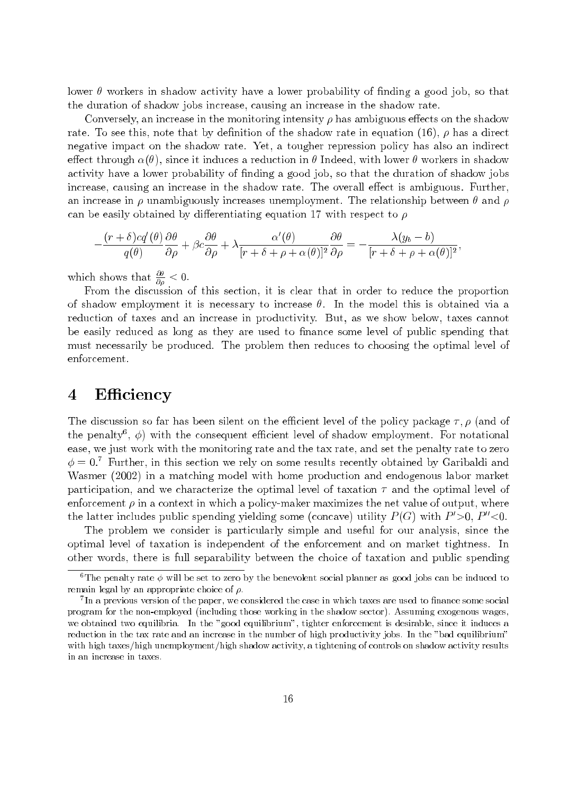lower  $\theta$  workers in shadow activity have a lower probability of finding a good job, so that the duration of shadow jobs increase, causing an increase in the shadow rate.

Conversely, an increase in the monitoring intensity  $\rho$  has ambiguous effects on the shadow rate. To see this, note that by definition of the shadow rate in equation (16),  $\rho$  has a direct negative impact on the shadow rate. Yet, a tougher repression policy has also an indirect effect through  $\alpha(\theta)$ , since it induces a reduction in  $\theta$  Indeed, with lower  $\theta$  workers in shadow activity have a lower probability of finding a good job, so that the duration of shadow jobs increase, causing an increase in the shadow rate. The overall effect is ambiguous. Further, an increase in  $\rho$  unambiguously increases unemployment. The relationship between  $\theta$  and  $\rho$ can be easily obtained by differentiating equation 17 with respect to  $\rho$ 

$$
-\frac{(r+\delta)cq'(\theta)}{q(\theta)}\frac{\partial\theta}{\partial\rho}+\beta c\frac{\partial\theta}{\partial\rho}+\lambda\frac{\alpha'(\theta)}{[r+\delta+\rho+\alpha(\theta)]^2}\frac{\partial\theta}{\partial\rho}=-\frac{\lambda(y_b-b)}{[r+\delta+\rho+\alpha(\theta)]^2},
$$

which shows that  $\frac{\partial \theta}{\partial \rho} < 0$ .

From the discussion of this section, it is clear that in order to reduce the proportion of shadow employment it is necessary to increase  $\theta$ . In the model this is obtained via a reduction of taxes and an increase in productivity. But, as we show below, taxes cannot be easily reduced as long as they are used to finance some level of public spending that must necessarily be produced. The problem then reduces to choosing the optimal level of enforcement.

### $\boldsymbol{4}$ Efficiency

The discussion so far has been silent on the efficient level of the policy package  $\tau$ ,  $\rho$  (and of the penalty<sup>6</sup>,  $\phi$ ) with the consequent efficient level of shadow employment. For notational ease, we just work with the monitoring rate and the tax rate, and set the penalty rate to zero  $\phi = 0$ .<sup>7</sup> Further, in this section we rely on some results recently obtained by Garibaldi and Wasmer (2002) in a matching model with home production and endogenous labor market participation, and we characterize the optimal level of taxation  $\tau$  and the optimal level of enforcement  $\rho$  in a context in which a policy-maker maximizes the net value of output, where the latter includes public spending yielding some (concave) utility  $P(G)$  with  $P' > 0$ ,  $P'' < 0$ .

The problem we consider is particularly simple and useful for our analysis, since the optimal level of taxation is independent of the enforcement and on market tightness. In other words, there is full separability between the choice of taxation and public spending

<sup>&</sup>lt;sup>6</sup>The penalty rate  $\phi$  will be set to zero by the benevolent social planner as good jobs can be induced to remain legal by an appropriate choice of  $\rho$ .

<sup>&</sup>lt;sup>7</sup>In a previous version of the paper, we considered the case in which taxes are used to finance some social program for the non-employed (including those working in the shadow sector). Assuming exogenous wages, we obtained two equilibria. In the "good equilibrium", tighter enforcement is desirable, since it induces a reduction in the tax rate and an increase in the number of high productivity jobs. In the "bad equilibrium" with high taxes/high unemployment/high shadow activity, a tightening of controls on shadow activity results in an increase in taxes.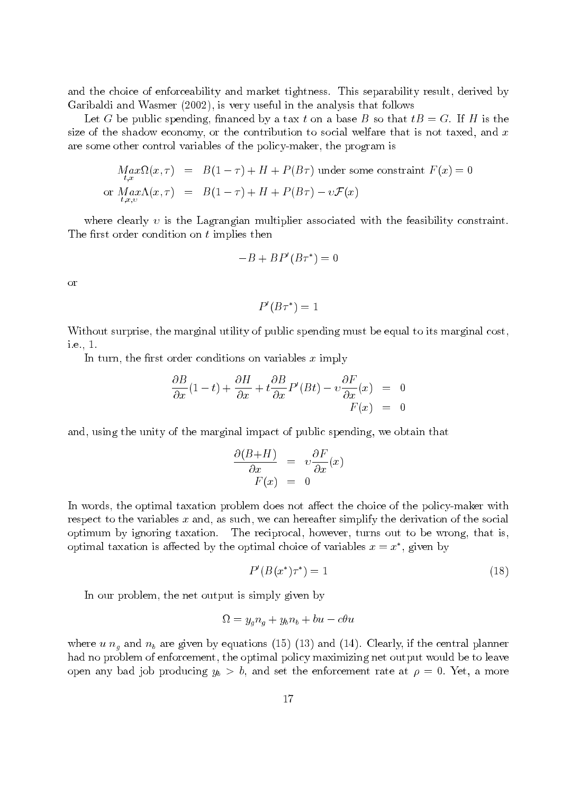and the choice of enforceability and market tightness. This separability result, derived by Garibaldi and Wasmer (2002), is very useful in the analysis that follows

Let G be public spending, financed by a tax t on a base B so that  $tB = G$ . If H is the size of the shadow economy, or the contribution to social welfare that is not taxed, and  $x$ are some other control variables of the policy-maker, the program is

$$
Max_{t,x} \Omega(x,\tau) = B(1-\tau) + H + P(B\tau) \text{ under some constraint } F(x) = 0
$$
  
or 
$$
Max_{t,x,v} \Lambda(x,\tau) = B(1-\tau) + H + P(B\tau) - v\mathcal{F}(x)
$$

where clearly  $v$  is the Lagrangian multiplier associated with the feasibility constraint. The first order condition on  $t$  implies then

$$
-B + BP'(B\tau^*) = 0
$$

**or** 

$$
P'(B\tau^*)=1
$$

Without surprise, the marginal utility of public spending must be equal to its marginal cost. i.e., 1.

In turn, the first order conditions on variables  $x$  imply

$$
\frac{\partial B}{\partial x}(1-t) + \frac{\partial H}{\partial x} + t \frac{\partial B}{\partial x}P'(Bt) - v \frac{\partial F}{\partial x}(x) = 0
$$
  

$$
F(x) = 0
$$

and, using the unity of the marginal impact of public spending, we obtain that

$$
\frac{\partial (B+H)}{\partial x} = v \frac{\partial F}{\partial x}(x)
$$

$$
F(x) = 0
$$

In words, the optimal taxation problem does not affect the choice of the policy-maker with respect to the variables  $x$  and, as such, we can hereafter simplify the derivation of the social The reciprocal, however, turns out to be wrong, that is, optimum by ignoring taxation. optimal taxation is affected by the optimal choice of variables  $x = x^*$ , given by

$$
P'(B(x^*)\tau^*) = 1\tag{18}
$$

In our problem, the net output is simply given by

$$
\Omega = y_g n_g + y_b n_b + bu - c\theta u
$$

where u  $n_q$  and  $n_b$  are given by equations (15) (13) and (14). Clearly, if the central planner had no problem of enforcement, the optimal policy maximizing net output would be to leave open any bad job producing  $y_b > b$ , and set the enforcement rate at  $\rho = 0$ . Yet, a more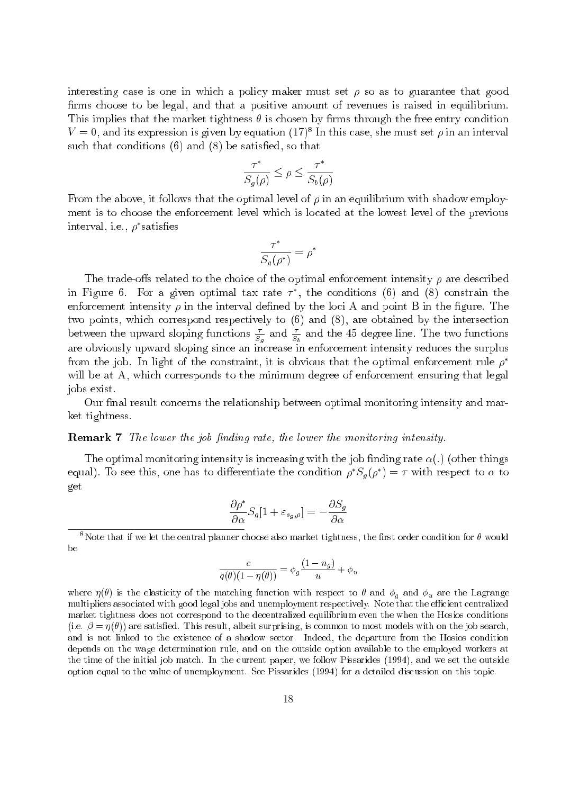interesting case is one in which a policy maker must set  $\rho$  so as to guarantee that good firms choose to be legal, and that a positive amount of revenues is raised in equilibrium. This implies that the market tightness  $\theta$  is chosen by firms through the free entry condition  $V = 0$ , and its expression is given by equation (17)<sup>8</sup> In this case, she must set  $\rho$  in an interval such that conditions  $(6)$  and  $(8)$  be satisfied, so that

$$
\frac{\tau^*}{S_g(\rho)} \le \rho \le \frac{\tau^*}{S_b(\rho)}
$$

From the above, it follows that the optimal level of  $\rho$  in an equilibrium with shadow employment is to choose the enforcement level which is located at the lowest level of the previous interval, i.e.,  $\rho^*$  satisfies

$$
\frac{\tau^*}{S_g(\rho^*)} = \rho^*
$$

The trade-offs related to the choice of the optimal enforcement intensity  $\rho$  are described in Figure 6. For a given optimal tax rate  $\tau^*$ , the conditions (6) and (8) constrain the enforcement intensity  $\rho$  in the interval defined by the loci A and point B in the figure. The two points, which correspond respectively to  $(6)$  and  $(8)$ , are obtained by the intersection between the upward sloping functions  $\frac{\tau}{S_g}$  and  $\frac{\tau}{S_b}$  and the 45 degree line. The two functions are obviously upward sloping since an increase in enforcement intensity reduces the surplus from the job. In light of the constraint, it is obvious that the optimal enforcement rule  $\rho^*$ will be at A, which corresponds to the minimum degree of enforcement ensuring that legal jobs exist.

Our final result concerns the relationship between optimal monitoring intensity and market tightness.

### **Remark 7** The lower the job finding rate, the lower the monitoring intensity.

The optimal monitoring intensity is increasing with the job finding rate  $\alpha(.)$  (other things equal). To see this, one has to differentiate the condition  $\rho^* S_q(\rho^*) = \tau$  with respect to  $\alpha$  to get

$$
\frac{\partial \rho^*}{\partial \alpha} S_g[1 + \varepsilon_{s_g, \rho}] = -\frac{\partial S_g}{\partial \alpha}
$$

<sup>8</sup>Note that if we let the central planner choose also market tightness, the first order condition for  $\theta$  would be

$$
\frac{c}{q(\theta)(1 - \eta(\theta))} = \phi_g \frac{(1 - n_g)}{u} + \phi_u
$$

where  $\eta(\theta)$  is the elasticity of the matching function with respect to  $\theta$  and  $\phi_g$  and  $\phi_u$  are the Lagrange multipliers associated with good legal jobs and unemployment respectively. Note that the efficient centralized market tightness does not correspond to the decentralized equilibrium even the when the Hosios conditions (i.e.  $\beta = \eta(\theta)$ ) are satisfied. This result, albeit surprising, is common to most models with on the job search, and is not linked to the existence of a shadow sector. Indeed, the departure from the Hosios condition depends on the wage determination rule, and on the outside option available to the employed workers at the time of the initial job match. In the current paper, we follow Pissarides (1994), and we set the outside option equal to the value of unemployment. See Pissarides (1994) for a detailed discussion on this topic.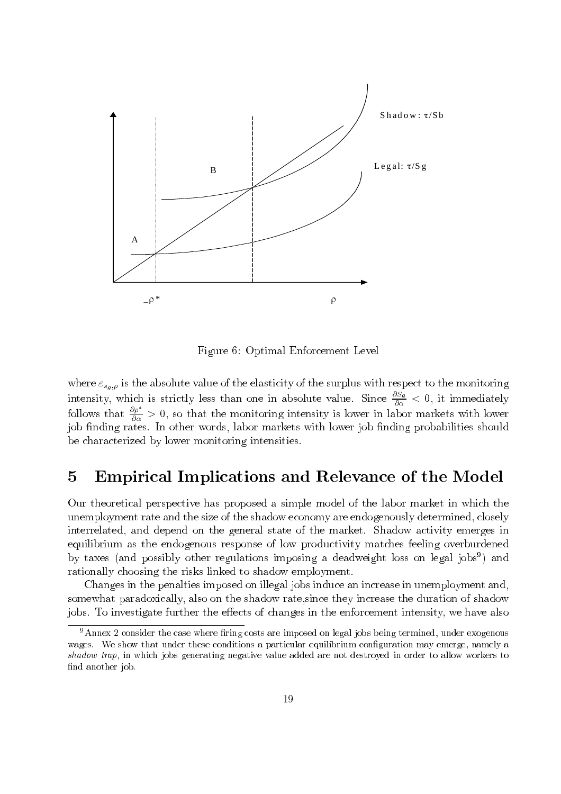

Figure 6: Optimal Enforcement Level

where  $\varepsilon_{s_g,\rho}$  is the absolute value of the elasticity of the surplus with respect to the monitoring intensity, which is strictly less than one in absolute value. Since  $\frac{\partial S_g}{\partial \alpha} < 0$ , it immediately follows that  $\frac{\partial \rho^*}{\partial \alpha} > 0$ , so that the monitoring intensity is lower in labor markets with lower job finding rates. In other words, labor markets with lower job finding probabilities should be characterized by lower monitoring intensities.

### Empirical Implications and Relevance of the Model  $\overline{5}$

Our theoretical perspective has proposed a simple model of the labor market in which the unemployment rate and the size of the shadow economy are endogenously determined, closely interrelated, and depend on the general state of the market. Shadow activity emerges in equilibrium as the endogenous response of low productivity matches feeling overburdened by taxes (and possibly other regulations imposing a deadweight loss on legal jobs<sup>9</sup>) and rationally choosing the risks linked to shadow employment.

Changes in the penalties imposed on illegal jobs induce an increase in unemployment and, somewhat paradoxically, also on the shadow rate, since they increase the duration of shadow jobs. To investigate further the effects of changes in the enforcement intensity, we have also

 $9$ Annex 2 consider the case where firing costs are imposed on legal jobs being termined, under exogenous wages. We show that under these conditions a particular equilibrium configuration may emerge, namely a shadow trap, in which jobs generating negative value added are not destroyed in order to allow workers to find another job.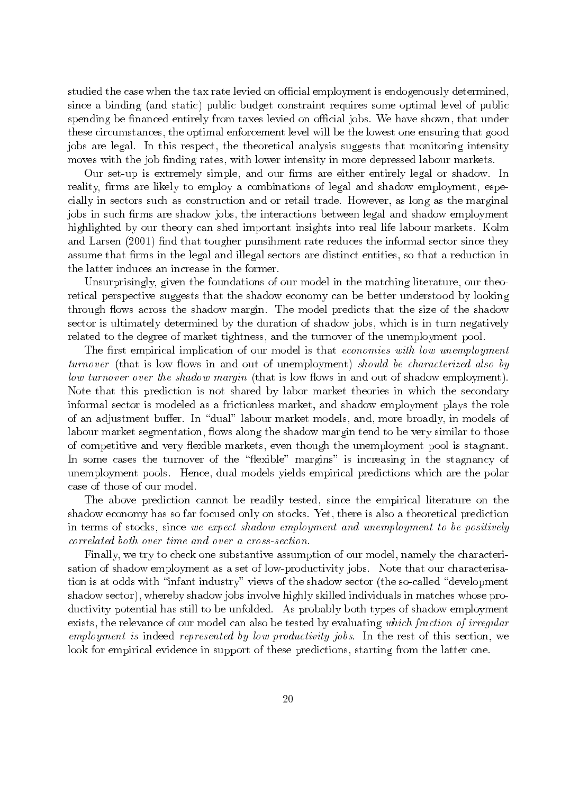studied the case when the tax rate levied on official employment is endogenously determined, since a binding (and static) public budget constraint requires some optimal level of public spending be financed entirely from taxes levied on official jobs. We have shown, that under these circumstances, the optimal enforcement level will be the lowest one ensuring that good jobs are legal. In this respect, the theoretical analysis suggests that monitoring intensity moves with the job finding rates, with lower intensity in more depressed labour markets.

Our set-up is extremely simple, and our firms are either entirely legal or shadow. In reality, firms are likely to employ a combinations of legal and shadow employment, especially in sectors such as construction and or retail trade. However, as long as the marginal jobs in such firms are shadow jobs, the interactions between legal and shadow employment highlighted by our theory can shed important insights into real life labour markets. Kolm and Larsen (2001) find that tougher punsihment rate reduces the informal sector since they assume that firms in the legal and illegal sectors are distinct entities, so that a reduction in the latter induces an increase in the former.

Unsurprisingly, given the foundations of our model in the matching literature, our theoretical perspective suggests that the shadow economy can be better understood by looking through flows across the shadow margin. The model predicts that the size of the shadow sector is ultimately determined by the duration of shadow jobs, which is in turn negatively related to the degree of market tightness, and the turnover of the unemployment pool.

The first empirical implication of our model is that economies with low unemployment turnover (that is low flows in and out of unemployment) should be characterized also by low turnover over the shadow margin (that is low flows in and out of shadow employment). Note that this prediction is not shared by labor market theories in which the secondary informal sector is modeled as a frictionless market, and shadow employment plays the role of an adjustment buffer. In "dual" labour market models, and, more broadly, in models of labour market segmentation, flows along the shadow margin tend to be very similar to those of competitive and very flexible markets, even though the unemployment pool is stagnant. In some cases the turnover of the "flexible" margins" is increasing in the stagnancy of unemployment pools. Hence, dual models yields empirical predictions which are the polar case of those of our model.

The above prediction cannot be readily tested, since the empirical literature on the shadow economy has so far focused only on stocks. Yet, there is also a theoretical prediction in terms of stocks, since we expect shadow employment and unemployment to be positively correlated both over time and over a cross-section.

Finally, we try to check one substantive assumption of our model, namely the characterisation of shadow employment as a set of low-productivity jobs. Note that our characterisation is at odds with "infant industry" views of the shadow sector (the so-called "development shadow sector), whereby shadow jobs involve highly skilled individuals in matches whose productivity potential has still to be unfolded. As probably both types of shadow employment exists, the relevance of our model can also be tested by evaluating which fraction of irregular employment is indeed represented by low productivity jobs. In the rest of this section, we look for empirical evidence in support of these predictions, starting from the latter one.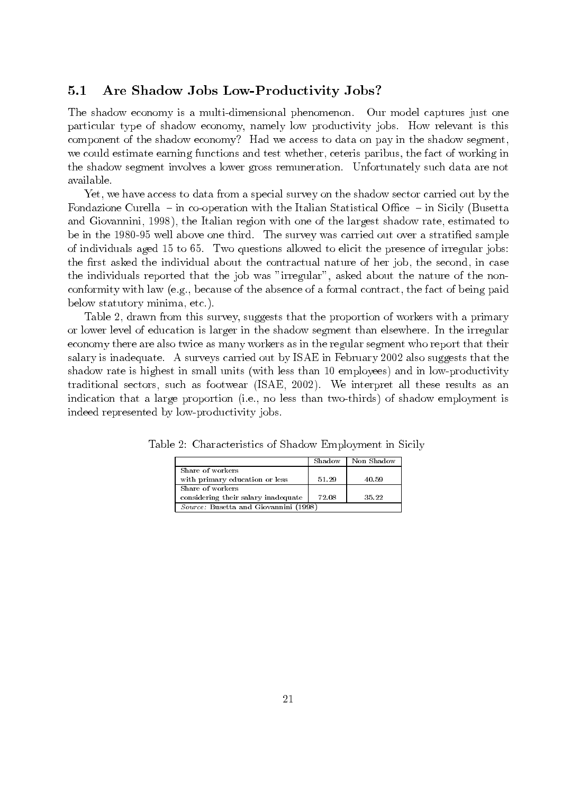#### Are Shadow Jobs Low-Productivity Jobs?  $5.1$

The shadow economy is a multi-dimensional phenomenon. Our model captures just one particular type of shadow economy, namely low productivity jobs. How relevant is this component of the shadow economy? Had we access to data on pay in the shadow segment, we could estimate earning functions and test whether, ceteris paribus, the fact of working in the shadow segment involves a lower gross remuneration. Unfortunately such data are not available.

Yet, we have access to data from a special survey on the shadow sector carried out by the Fondazione Curella – in co-operation with the Italian Statistical Office – in Sicily (Busetta and Giovannini, 1998), the Italian region with one of the largest shadow rate, estimated to be in the 1980-95 well above one third. The survey was carried out over a stratified sample of individuals aged 15 to 65. Two questions allowed to elicit the presence of irregular jobs: the first asked the individual about the contractual nature of her job, the second, in case the individuals reported that the job was "irregular", asked about the nature of the nonconformity with law (e.g., because of the absence of a formal contract, the fact of being paid below statutory minima, etc.).

Table 2, drawn from this survey, suggests that the proportion of workers with a primary or lower level of education is larger in the shadow segment than elsewhere. In the irregular economy there are also twice as many workers as in the regular segment who report that their salary is inadequate. A surveys carried out by ISAE in February 2002 also suggests that the shadow rate is highest in small units (with less than 10 employees) and in low-productivity traditional sectors, such as footwear (ISAE, 2002). We interpret all these results as an indication that a large proportion (i.e., no less than two-thirds) of shadow employment is indeed represented by low-productivity jobs.

|                                       | Shadow | Non Shadow |  |  |  |  |
|---------------------------------------|--------|------------|--|--|--|--|
| Share of workers                      |        |            |  |  |  |  |
| with primary education or less        | 51.29  | 40.59      |  |  |  |  |
| Share of workers                      |        |            |  |  |  |  |
| considering their salary inadequate   | 72.08  | 35.22      |  |  |  |  |
| Source: Busetta and Giovannini (1998) |        |            |  |  |  |  |

Table 2: Characteristics of Shadow Employment in Sicily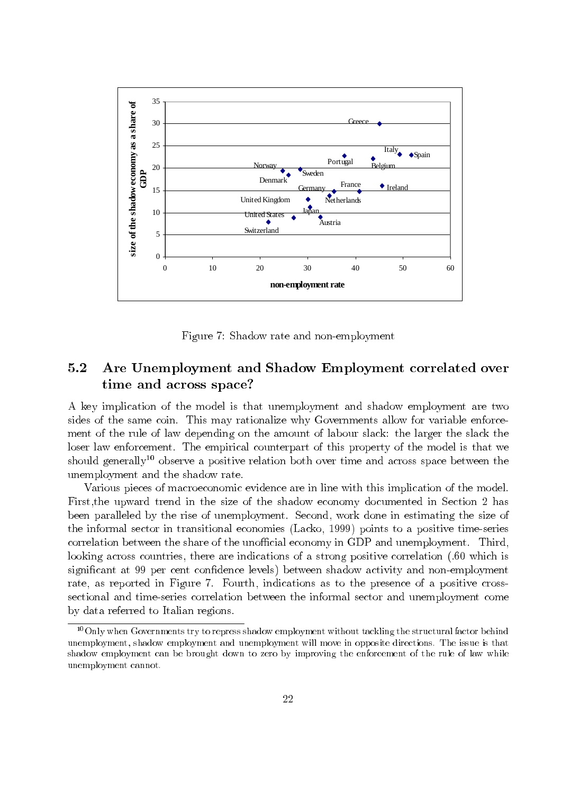

Figure 7: Shadow rate and non-employment

### $5.2$ Are Unemployment and Shadow Employment correlated over time and across space?

A key implication of the model is that unemployment and shadow employment are two sides of the same coin. This may rationalize why Governments allow for variable enforcement of the rule of law depending on the amount of labour slack: the larger the slack the loser law enforcement. The empirical counterpart of this property of the model is that we ment of the rule of law depending on the amount of labour slack: the larger the slack the<br>loser law enforcement. The empirical counterpart of this property of the model is that we<br>should generally<sup>10</sup> observe a positive re unemployment and the shadow rate.

Various pieces of macroeconomic evidence are in line with this implication of the model. First, the upward trend in the size of the shadow economy documented in Section 2 has been paralleled by the rise of unemployment. Second, work done in estimating the size of the informal sector in transitional economies (Lacko, 1999) points to a positive time-series correlation between the share of the unofficial economy in GDP and unemployment. Third, looking across countries, there are indications of a strong positive correlation (.60 which is significant at 99 per cent confidence levels) between shadow activity and non-employment rate, as reported in Figure 7. Fourth, indications as to the presence of a positive crosssectional and time-series correlation between the informal sector and unemployment come by data referred to Italian regions.

 $^{10}$ Only when Governments try to repress shadow employment without tackling the structural factor behind Unly when Governments try to repress shadow employment without tackling the structural factor behind<br>nployment, shadow employment and unemployment will move in opposite directions. The issue is that unemployment, shadow employment and unemployment will move in opposite directions. The issue is that<br>shadow employment can be brought down to zero by improving the enforcement of the rule of law while snadow employment can be<br>unemployment cannot brought down to zero by improving the enforcement of the rule of law while  $\mathbf{r}$   $\theta$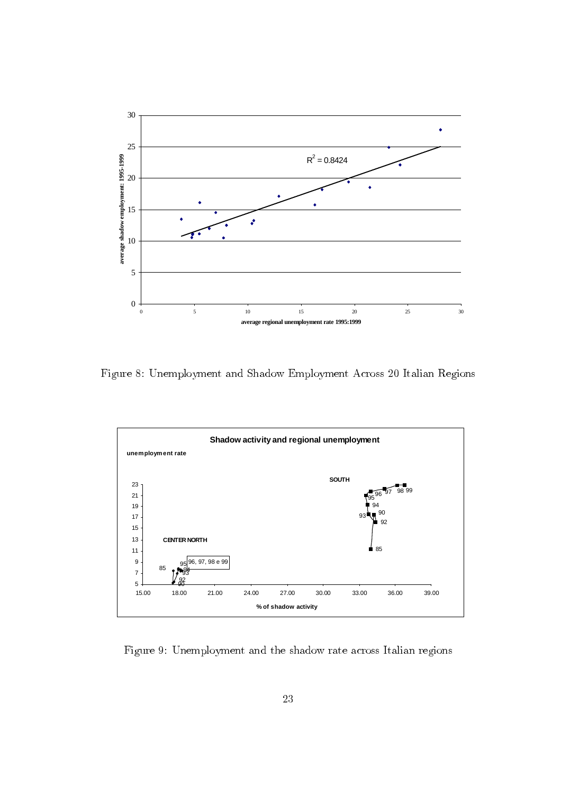

Figure 8: Unemployment and Shadow Employment Across 20 Italian Regions



Figure 9: Unemployment and the shadow rate across Italian regions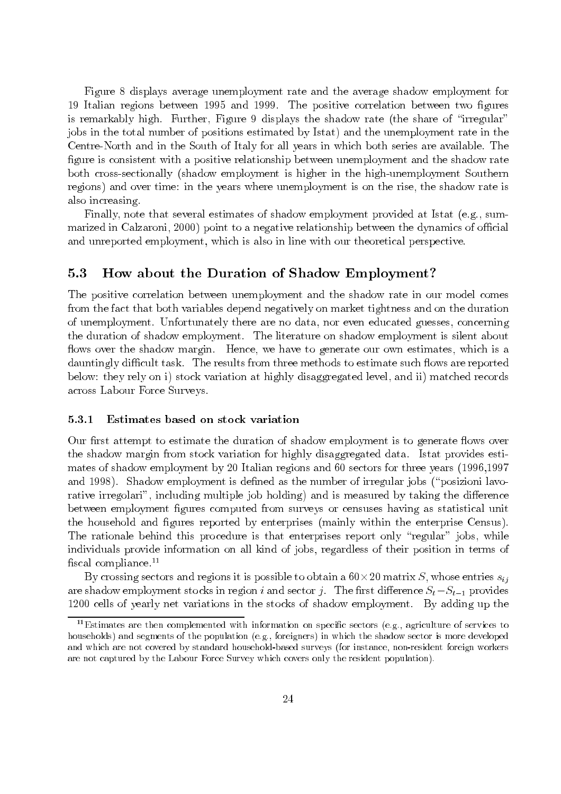Figure 8 displays average unemployment rate and the average shadow employment for 19 Italian regions between 1995 and 1999. The positive correlation between two figures is remarkably high. Further, Figure 9 displays the shadow rate (the share of "irregular" jobs in the total number of positions estimated by Istat) and the unemployment rate in the Centre-North and in the South of Italy for all years in which both series are available. The figure is consistent with a positive relationship between unemployment and the shadow rate both cross-sectionally (shadow employment is higher in the high-unemployment Southern regions) and over time: in the years where unemployment is on the rise, the shadow rate is also increasing.

Finally, note that several estimates of shadow employment provided at Istat (e.g., summarized in Calzaroni, 2000) point to a negative relationship between the dynamics of official and unreported employment, which is also in line with our theoretical perspective.

#### $5.3$ How about the Duration of Shadow Employment?

The positive correlation between unemployment and the shadow rate in our model comes from the fact that both variables depend negatively on market tightness and on the duration of unemployment. Unfortunately there are no data, nor even educated guesses, concerning the duration of shadow employment. The literature on shadow employment is silent about flows over the shadow margin. Hence, we have to generate our own estimates, which is a dauntingly difficult task. The results from three methods to estimate such flows are reported below: they rely on i) stock variation at highly disaggregated level, and ii) matched records across Labour Force Surveys.

#### Estimates based on stock variation  $5.3.1$

Our first attempt to estimate the duration of shadow employment is to generate flows over the shadow margin from stock variation for highly disaggregated data. Istat provides estimates of shadow employment by 20 Italian regions and 60 sectors for three years (1996,1997) and 1998). Shadow employment is defined as the number of irregular jobs ("posizioni lavorative irregolari", including multiple job holding) and is measured by taking the difference between employment figures computed from surveys or censuses having as statistical unit the household and figures reported by enterprises (mainly within the enterprise Census). The rationale behind this procedure is that enterprises report only "regular" jobs, while individuals provide information on all kind of jobs, regardless of their position in terms of fiscal compliance. $^{11}$ 

By crossing sectors and regions it is possible to obtain a  $60 \times 20$  matrix S, whose entries  $s_{ij}$ are shadow employment stocks in region i and sector j. The first difference  $S_t - S_{t-1}$  provides 1200 cells of yearly net variations in the stocks of shadow employment. By adding up the

<sup>&</sup>lt;sup>11</sup>Estimates are then complemented with information on specific sectors (e.g., agriculture of services to households) and segments of the population (e.g., foreigners) in which the shadow sector is more developed and which are not covered by standard household-based surveys (for instance, non-resident foreign workers are not captured by the Labour Force Survey which covers only the resident population).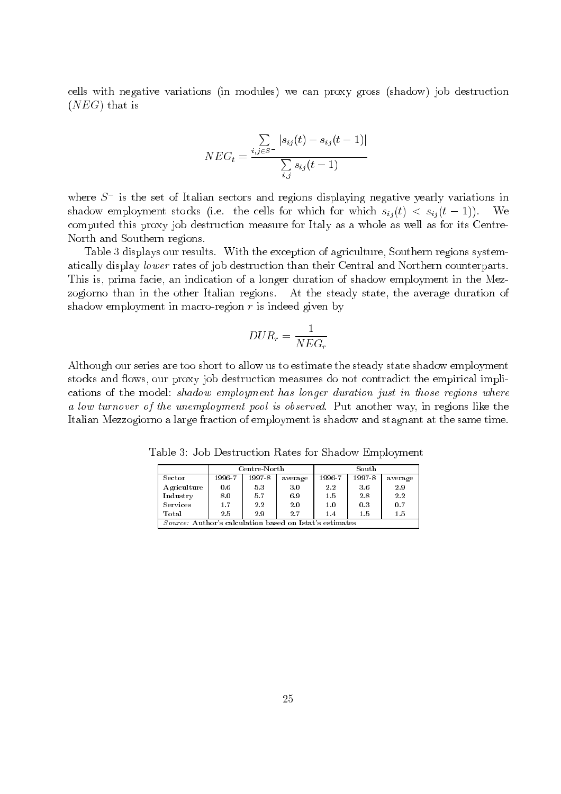cells with negative variations (in modules) we can proxy gross (shadow) job destruction  $(NEG)$  that is

$$
NEG_{t} = \frac{\sum_{i,j \in S^{-}} |s_{ij}(t) - s_{ij}(t-1)|}{\sum_{i,j} s_{ij}(t-1)}
$$

where  $S^-$  is the set of Italian sectors and regions displaying negative yearly variations in shadow employment stocks (i.e. the cells for which for which  $s_{ij}(t) < s_{ij}(t-1)$ ). We computed this proxy job destruction measure for Italy as a whole as well as for its Centre-North and Southern regions.

Table 3 displays our results. With the exception of agriculture, Southern regions systematically display lower rates of job destruction than their Central and Northern counterparts. This is, prima facie, an indication of a longer duration of shadow employment in the Mezzogiorno than in the other Italian regions. At the steady state, the average duration of shadow employment in macro-region  $r$  is indeed given by

$$
DUR_r = \frac{1}{NEG_r}
$$

Although our series are too short to allow us to estimate the steady state shadow employment stocks and flows, our proxy job destruction measures do not contradict the empirical implications of the model: shadow employment has longer duration just in those regions where a low turnover of the unemployment pool is observed. Put another way, in regions like the Italian Mezzogiorno a large fraction of employment is shadow and stagnant at the same time.

Table 3: Job Destruction Rates for Shadow Employment

|                                                                 |        | Centre-North |         | South  |        |         |  |  |  |
|-----------------------------------------------------------------|--------|--------------|---------|--------|--------|---------|--|--|--|
| Sector                                                          | 1996-7 | 1997-8       | average | 1996-7 | 1997-8 | average |  |  |  |
| Agriculture                                                     | 0.6    | 53           | 3.0     | 2.2    | 3.6    | 2.9     |  |  |  |
| Industry                                                        | 8.0    | 5.7          | 6.9     | 1.5    | 28     | 2.2     |  |  |  |
| <b>Services</b>                                                 | 1.7    | 2.2          | 2.0     | 1.0    | 0.3    | 0.7     |  |  |  |
| Total                                                           | 2.5    | 2.9          | 2.7     | 1.4    | 1.5    | 1.5     |  |  |  |
| <i>Source</i> : Author's calculation based on Istat's estimates |        |              |         |        |        |         |  |  |  |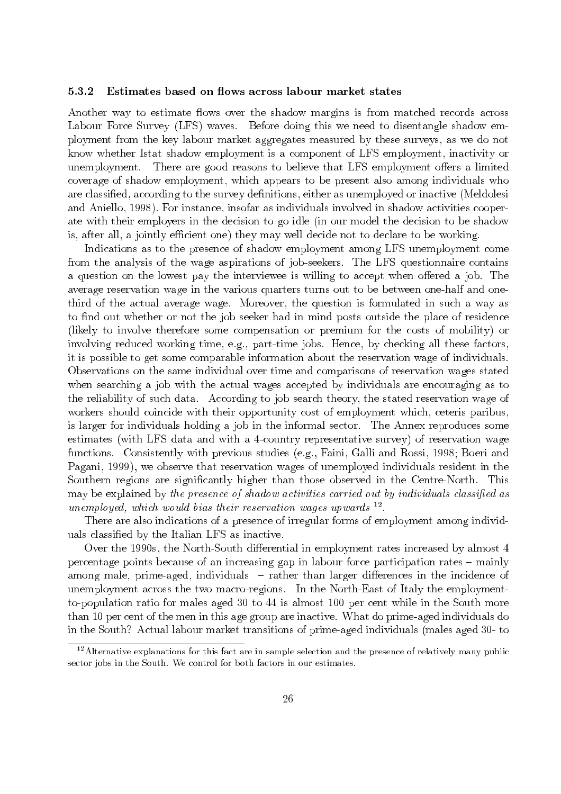#### 5.3.2 Estimates based on flows across labour market states

Another way to estimate flows over the shadow margins is from matched records across Labour Force Survey (LFS) waves. Before doing this we need to disentangle shadow employment from the key labour market aggregates measured by these surveys, as we do not know whether Istat shadow employment is a component of LFS employment, inactivity or There are good reasons to believe that LFS employment offers a limited unemployment. coverage of shadow employment, which appears to be present also among individuals who are classified, according to the survey definitions, either as unemployed or inactive (Meldolesi and Aniello, 1998). For instance, insofar as individuals involved in shadow activities cooperate with their employers in the decision to go idle (in our model the decision to be shadow is, after all, a jointly efficient one) they may well decide not to declare to be working.

Indications as to the presence of shadow employment among LFS unemployment come from the analysis of the wage aspirations of job-seekers. The LFS questionnaire contains a question on the lowest pay the interviewee is willing to accept when offered a job. The average reservation wage in the various quarters turns out to be between one-half and onethird of the actual average wage. Moreover, the question is formulated in such a way as to find out whether or not the job seeker had in mind posts outside the place of residence (likely to involve therefore some compensation or premium for the costs of mobility) or involving reduced working time, e.g., part-time jobs. Hence, by checking all these factors, it is possible to get some comparable information about the reservation wage of individuals. Observations on the same individual over time and comparisons of reservation wages stated when searching a job with the actual wages accepted by individuals are encouraging as to the reliability of such data. According to job search theory, the stated reservation wage of workers should coincide with their opportunity cost of employment which, ceteris paribus, is larger for individuals holding a job in the informal sector. The Annex reproduces some estimates (with LFS data and with a 4-country representative survey) of reservation wage functions. Consistently with previous studies (e.g., Faini, Galli and Rossi, 1998; Boeri and Pagani, 1999), we observe that reservation wages of unemployed individuals resident in the Southern regions are significantly higher than those observed in the Centre-North. This may be explained by the presence of shadow activities carried out by individuals classified as unemployed, which would bias their reservation wages upwards  $^{12}$ .

There are also indications of a presence of irregular forms of employment among individuals classified by the Italian LFS as inactive.

Over the 1990s, the North-South differential in employment rates increased by almost 4 percentage points because of an increasing gap in labour force participation rates - mainly among male, prime-aged, individuals - rather than larger differences in the incidence of unemployment across the two macro-regions. In the North-East of Italy the employmentto-population ratio for males aged 30 to 44 is almost 100 per cent while in the South more than 10 per cent of the men in this age group are inactive. What do prime-aged individuals do in the South? Actual labour market transitions of prime-aged individuals (males aged 30-to

 $12$  Alternative explanations for this fact are in sample selection and the presence of relatively many public sector jobs in the South. We control for both factors in our estimates.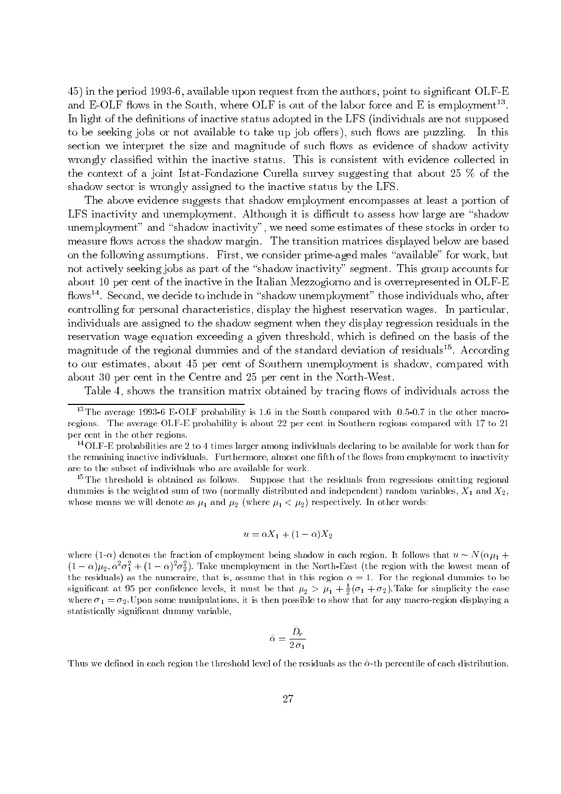45) in the period 1993-6, available upon request from the authors, point to significant OLF-E and E-OLF flows in the South, where OLF is out of the labor force and E is employment<sup>13</sup>. In light of the definitions of inactive status adopted in the LFS (individuals are not supposed to be seeking jobs or not available to take up job offers), such flows are puzzling. - In this section we interpret the size and magnitude of such flows as evidence of shadow activity wrongly classified within the inactive status. This is consistent with evidence collected in the context of a joint Istat-Fondazione Curella survey suggesting that about 25  $\%$  of the shadow sector is wrongly assigned to the inactive status by the LFS.

The above evidence suggests that shadow employment encompasses at least a portion of LFS inactivity and unemployment. Although it is difficult to assess how large are "shadow unemployment" and "shadow inactivity", we need some estimates of these stocks in order to measure flows across the shadow margin. The transition matrices displayed below are based on the following assumptions. First, we consider prime-aged males "available" for work, but not actively seeking jobs as part of the "shadow inactivity" segment. This group accounts for about 10 per cent of the inactive in the Italian Mezzogiorno and is overrepresented in OLF-E flows<sup>14</sup>. Second, we decide to include in "shadow unemployment" those individuals who, after controlling for personal characteristics, display the highest reservation wages. In particular, individuals are assigned to the shadow segment when they display regression residuals in the reservation wage equation exceeding a given threshold, which is defined on the basis of the magnitude of the regional dummies and of the standard deviation of residuals<sup>15</sup>. According to our estimates, about 45 per cent of Southern unemployment is shadow, compared with about 30 per cent in the Centre and 25 per cent in the North-West.

Table 4, shows the transition matrix obtained by tracing flows of individuals across the

 $^{14}$ OLF-E probabilities are 2 to 4 times larger among individuals declaring to be available for work than for the remaining inactive individuals. Furthermore, almost one fifth of the flows from employment to inactivity are to the subset of individuals who are available for work.

<sup>15</sup>The threshold is obtained as follows. Suppose that the residuals from regressions omitting regional dummies is the weighted sum of two (normally distributed and independent) random variables,  $X_1$  and  $X_2$ , whose means we will denote as  $\mu_1$  and  $\mu_2$  (where  $\mu_1 < \mu_2$ ) respectively. In other words:

$$
u = \alpha X_1 + (1 - \alpha)X_2
$$

where  $(1-\alpha)$  denotes the fraction of employment being shadow in each region. It follows that  $u \sim N(\alpha \mu_1 +$  $(1-\alpha)\mu_2$ ,  $\alpha^2\sigma_1^2 + (1-\alpha)^2\sigma_2^2$ ). Take unemployment in the North-East (the region with the lowest mean of the residuals) as the numeraire, that is, assume that in this region  $\alpha = 1$ . For the regional dummies to be significant at 95 per confidence levels, it must be that  $\mu_2 > \mu_1 + \frac{1}{2}(\sigma_1 + \sigma_2)$ . Take for simplicity the case where  $\sigma_1 = \sigma_2$ . Upon some manipulations, it is then possible to show that for any macro-region displaying a statistically significant dummy variable,

$$
\hat{\alpha}=\frac{\hat{D}_r}{2\:\hat{\sigma}_1}
$$

Thus we defined in each region the threshold level of the residuals as the  $\hat{\alpha}$ -th percentile of each distribution.

<sup>&</sup>lt;sup>13</sup>The average 1993-6 E-OLF probability is 1.6 in the South compared with .0.5-0.7 in the other macroregions. The average OLF-E probability is about 22 per cent in Southern regions compared with 17 to 21 per cent in the other regions.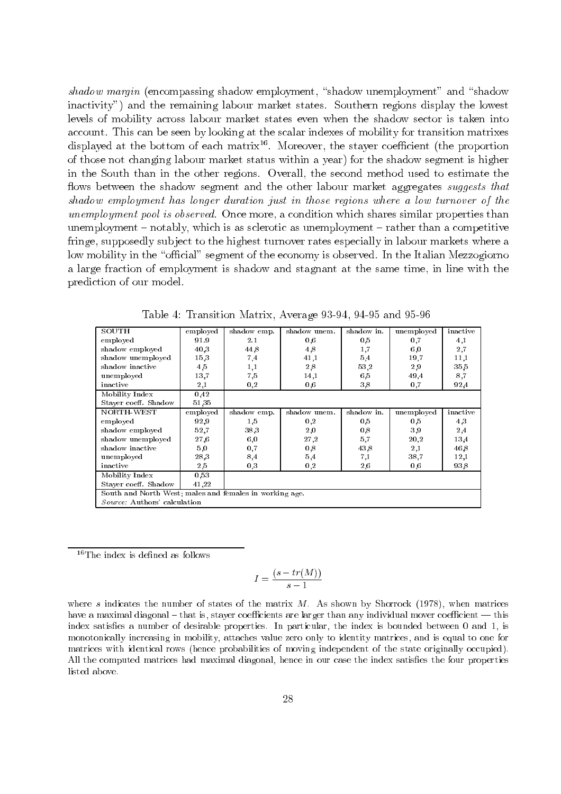shadow margin (encompassing shadow employment, "shadow unemployment" and "shadow inactivity") and the remaining labour market states. Southern regions display the lowest levels of mobility across labour market states even when the shadow sector is taken into account. This can be seen by looking at the scalar indexes of mobility for transition matrixes displayed at the bottom of each matrix<sup>16</sup>. Moreover, the stayer coefficient (the proportion of those not changing labour market status within a year) for the shadow segment is higher in the South than in the other regions. Overall, the second method used to estimate the flows between the shadow segment and the other labour market aggregates suggests that shadow employment has longer duration just in those regions where a low turnover of the *unemployment pool is observed.* Once more, a condition which shares similar properties than unemployment – notably, which is as sclerotic as unemployment – rather than a competitive fringe, supposedly subject to the highest turnover rates especially in labour markets where a low mobility in the "official" segment of the economy is observed. In the Italian Mezzogiorno a large fraction of employment is shadow and stagnant at the same time, in line with the prediction of our model.

| SOUTH                                                   | employed | shadow emp. | shadow unem. | shadow in. | unemployed | inactive |  |  |  |
|---------------------------------------------------------|----------|-------------|--------------|------------|------------|----------|--|--|--|
| employed                                                | 91.9     | 2.1         | 0,6          | 0.5        | 0,7        | 4,1      |  |  |  |
| shadow employed                                         | 40.3     | 44.8        | 4,8          | 1,7        | 6,0        | 2,7      |  |  |  |
| shadow unemployed                                       | 15,3     | 7,4         | 41,1         | 5,4        | 19,7       | 11,1     |  |  |  |
| shadow inactive                                         | 4,5      | 1,1         | 2,8          | 53,2       | 2,9        | 35,5     |  |  |  |
| unemployed                                              | 13,7     | 7,5         | 14,1         | 6,5        | 49,4       | 8,7      |  |  |  |
| inactive                                                | 2,1      | 0,2         | 0,6          | 3,8        | 0,7        | 92,4     |  |  |  |
| Mobility Index                                          | 0,42     |             |              |            |            |          |  |  |  |
| Stayer coeff. Shadow                                    | 51,35    |             |              |            |            |          |  |  |  |
| NORTH-WEST                                              | employed | shadow emp. | shadow unem. | shadow in. | unemployed | inactive |  |  |  |
| employed                                                | 92,9     | 1,5         | 0,2          | 0.5        | 0,5        | 4,3      |  |  |  |
| shadow employed                                         | 52,7     | 38.3        | 2,0          | 0.8        | 3,9        | 2,4      |  |  |  |
| shadow unemployed                                       | 27.6     | 6,0         | 27,2         | 5,7        | 20,2       | 13,4     |  |  |  |
| shadow inactive                                         | 5,0      | 0.7         | 0,8          | 43.8       | 2,1        | 46,8     |  |  |  |
| unemployed                                              | 28,3     | 8,4         | 5,4          | 7,1        | 38,7       | 12,1     |  |  |  |
| inactive                                                | 2,5      | 0,3         | 0,2          | 2,6        | 0,6        | 93.8     |  |  |  |
| Mobility Index                                          | 0.53     |             |              |            |            |          |  |  |  |
| Stayer coeff. Shadow<br>41,22                           |          |             |              |            |            |          |  |  |  |
| South and North West; males and females in working age. |          |             |              |            |            |          |  |  |  |
| Source: Authors' calculation                            |          |             |              |            |            |          |  |  |  |

Table 4: Transition Matrix, Average 93-94, 94-95 and 95-96

 $16$ The index is defined as follows

$$
I = \frac{(s - tr(M))}{s - 1}
$$

where s indicates the number of states of the matrix  $M$ . As shown by Shorrock (1978), when matrices have a maximal diagonal – that is, stayer coefficients are larger than any individual mover coefficient — this index satisfies a number of desirable properties. In particular, the index is bounded between 0 and 1, is monotonically increasing in mobility, attaches value zero only to identity matrices, and is equal to one for matrices with identical rows (hence probabilities of moving independent of the state originally occupied). All the computed matrices had maximal diagonal, hence in our case the index satisfies the four properties listed above.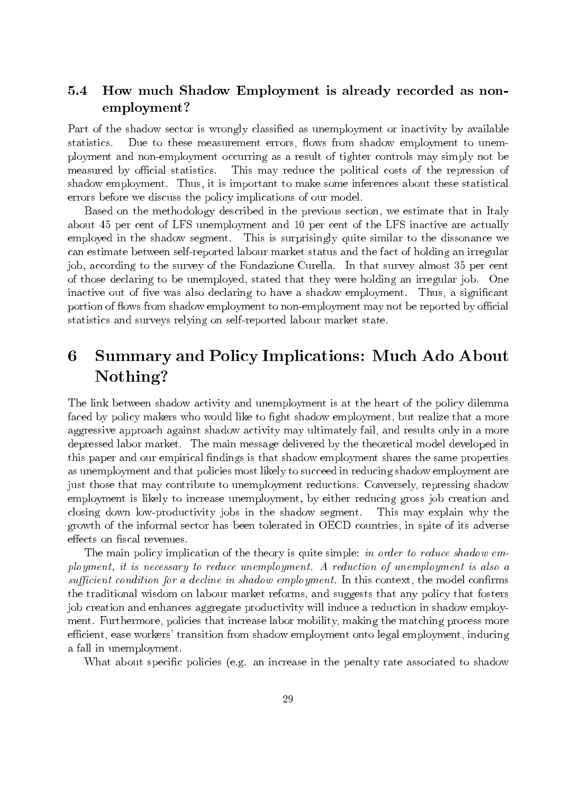### $5.4$ How much Shadow Employment is already recorded as nonemployment?

Part of the shadow sector is wrongly classified as unemployment or inactivity by available Due to these measurement errors, flows from shadow employment to unemstatistics. ployment and non-employment occurring as a result of tighter controls may simply not be measured by official statistics. This may reduce the political costs of the repression of shadow employment. Thus, it is important to make some inferences about these statistical errors before we discuss the policy implications of our model.

Based on the methodology described in the previous section, we estimate that in Italy about 45 per cent of LFS unemployment and 10 per cent of the LFS inactive are actually employed in the shadow segment. This is surprisingly quite similar to the dissonance we can estimate between self-reported labour market status and the fact of holding an irregular job, according to the survey of the Fondazione Curella. In that survey almost 35 per cent of those declaring to be unemployed, stated that they were holding an irregular job. One inactive out of five was also declaring to have a shadow employment. Thus, a significant portion of flows from shadow employment to non-employment may not be reported by official statistics and surveys relying on self-reported labour market state.

### **Summary and Policy Implications: Much Ado About** 6 Nothing?

The link between shadow activity and unemployment is at the heart of the policy dilemma faced by policy makers who would like to fight shadow employment, but realize that a more aggressive approach against shadow activity may ultimately fail, and results only in a more depressed labor market. The main message delivered by the theoretical model developed in this paper and our empirical findings is that shadow employment shares the same properties as unemployment and that policies most likely to succeed in reducing shadow employment are just those that may contribute to unemployment reductions. Conversely, repressing shadow employment is likely to increase unemployment, by either reducing gross job creation and closing down low-productivity jobs in the shadow segment. This may explain why the growth of the informal sector has been tolerated in OECD countries, in spite of its adverse effects on fiscal revenues.

The main policy implication of the theory is quite simple: in order to reduce shadow employment, it is necessary to reduce unemployment. A reduction of unemployment is also a sufficient condition for a decline in shadow employment. In this context, the model confirms the traditional wisdom on labour market reforms, and suggests that any policy that fosters job creation and enhances aggregate productivity will induce a reduction in shadow employment. Furthermore, policies that increase labor mobility, making the matching process more efficient, ease workers' transition from shadow employment onto legal employment, inducing a fall in unemployment.

What about specific policies (e.g. an increase in the penalty rate associated to shadow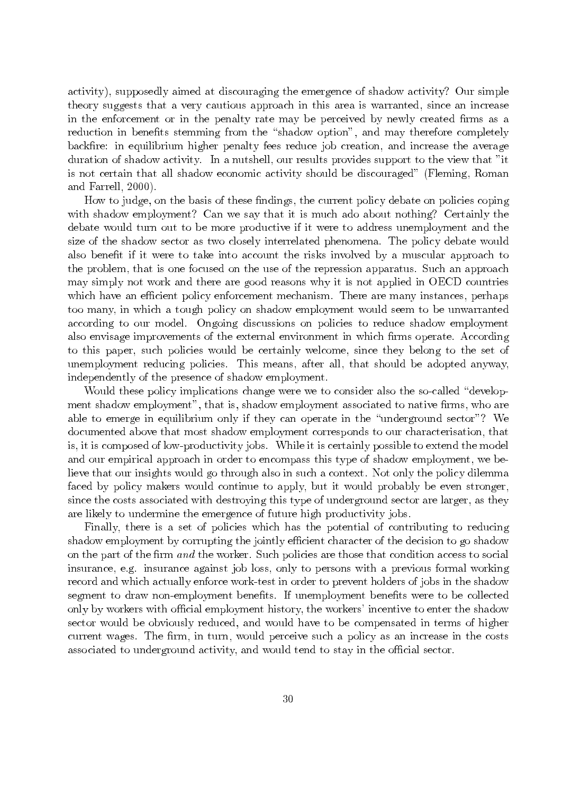activity), supposedly aimed at discouraging the emergence of shadow activity? Our simple theory suggests that a very cautious approach in this area is warranted, since an increase in the enforcement or in the penalty rate may be perceived by newly created firms as a reduction in benefits stemming from the "shadow option", and may therefore completely backfire: in equilibrium higher penalty fees reduce job creation, and increase the average duration of shadow activity. In a nutshell, our results provides support to the view that "it is not certain that all shadow economic activity should be discouraged" (Fleming, Roman and Farrell, 2000).

How to judge, on the basis of these findings, the current policy debate on policies coping with shadow employment? Can we say that it is much ado about nothing? Certainly the debate would turn out to be more productive if it were to address unemployment and the size of the shadow sector as two closely interrelated phenomena. The policy debate would also benefit if it were to take into account the risks involved by a muscular approach to the problem, that is one focused on the use of the repression apparatus. Such an approach may simply not work and there are good reasons why it is not applied in OECD countries which have an efficient policy enforcement mechanism. There are many instances, perhaps too many, in which a tough policy on shadow employment would seem to be unwarranted according to our model. Ongoing discussions on policies to reduce shadow employment also envisage improvements of the external environment in which firms operate. According to this paper, such policies would be certainly welcome, since they belong to the set of unemployment reducing policies. This means, after all, that should be adopted anyway, independently of the presence of shadow employment.

Would these policy implications change were we to consider also the so-called "development shadow employment", that is, shadow employment associated to native firms, who are able to emerge in equilibrium only if they can operate in the "underground sector"? We documented above that most shadow employment corresponds to our characterisation, that is, it is composed of low-productivity jobs. While it is certainly possible to extend the model and our empirical approach in order to encompass this type of shadow employment, we believe that our insights would go through also in such a context. Not only the policy dilemma faced by policy makers would continue to apply, but it would probably be even stronger, since the costs associated with destroying this type of underground sector are larger, as they are likely to undermine the emergence of future high productivity jobs.

Finally, there is a set of policies which has the potential of contributing to reducing shadow employment by corrupting the jointly efficient character of the decision to go shadow on the part of the firm and the worker. Such policies are those that condition access to social insurance, e.g. insurance against job loss, only to persons with a previous formal working record and which actually enforce work-test in order to prevent holders of jobs in the shadow segment to draw non-employment benefits. If unemployment benefits were to be collected only by workers with official employment history, the workers' incentive to enter the shadow sector would be obviously reduced, and would have to be compensated in terms of higher current wages. The firm, in turn, would perceive such a policy as an increase in the costs associated to underground activity, and would tend to stay in the official sector.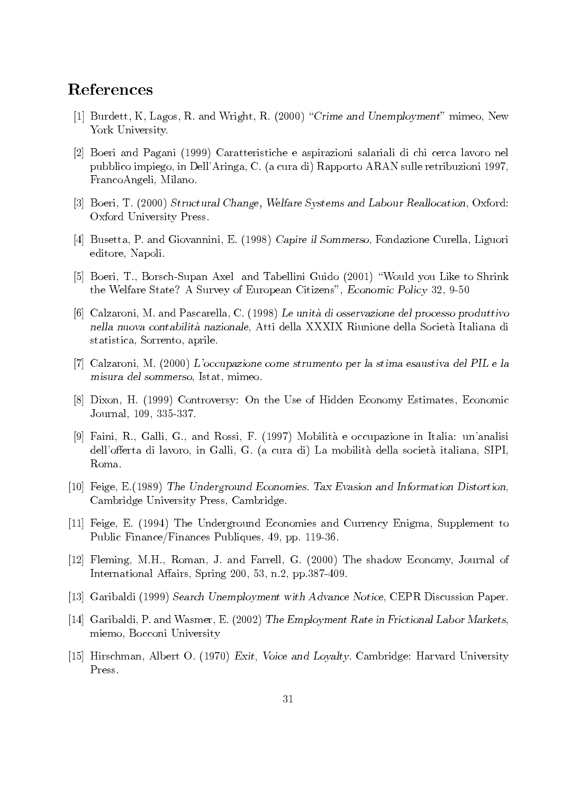## References

- [1] Burdett, K, Lagos, R. and Wright, R. (2000) "Crime and Unemployment" mimeo, New York University.
- [2] Boeri and Pagani (1999) Caratteristiche e aspirazioni salariali di chi cerca lavoro nel pubblico impiego, in Dell'Aringa, C. (a cura di) Rapporto ARAN sulle retribuzioni 1997, FrancoAngeli, Milano.
- [3] Boeri, T. (2000) Structural Change, Welfare Systems and Labour Reallocation, Oxford: Oxford University Press.
- [4] Busetta, P. and Giovannini, E. (1998) Capire il Sommerso, Fondazione Curella, Liguori editore, Napoli.
- [5] Boeri, T., Borsch-Supan Axel and Tabellini Guido (2001) "Would you Like to Shrink the Welfare State? A Survey of European Citizens", Economic Policy 32, 9-50
- [6] Calzaroni, M. and Pascarella, C. (1998) Le unità di osservazione del processo produttivo nella nuova contabilità nazionale, Atti della XXXIX Riunione della Società Italiana di statistica, Sorrento, aprile.
- [7] Calzaroni, M. (2000) L'occupazione come strumento per la stima esaustiva del PIL e la misura del sommerso, Istat, mimeo.
- [8] Dixon, H. (1999) Controversy: On the Use of Hidden Economy Estimates, Economic Journal, 109, 335-337.
- [9] Faini, R., Galli, G., and Rossi, F. (1997) Mobilità e occupazione in Italia: un'analisi dell'offerta di lavoro, in Galli, G. (a cura di) La mobilità della società italiana, SIPI, Roma.
- [10] Feige, E. (1989) The Underground Economies. Tax Evasion and Information Distortion, Cambridge University Press, Cambridge.
- [11] Feige, E. (1994) The Underground Economies and Currency Enigma, Supplement to Public Finance/Finances Publiques, 49, pp. 119-36.
- [12] Fleming, M.H., Roman, J. and Farrell, G. (2000) The shadow Economy, Journal of International Affairs, Spring 200, 53, n.2, pp.387-409.
- [13] Garibaldi (1999) Search Unemployment with Advance Notice, CEPR Discussion Paper.
- [14] Garibaldi, P. and Wasmer, E. (2002) The Employment Rate in Frictional Labor Markets, miemo, Bocconi University
- [15] Hirschman, Albert O. (1970) Exit, Voice and Loyalty. Cambridge: Harvard University Press.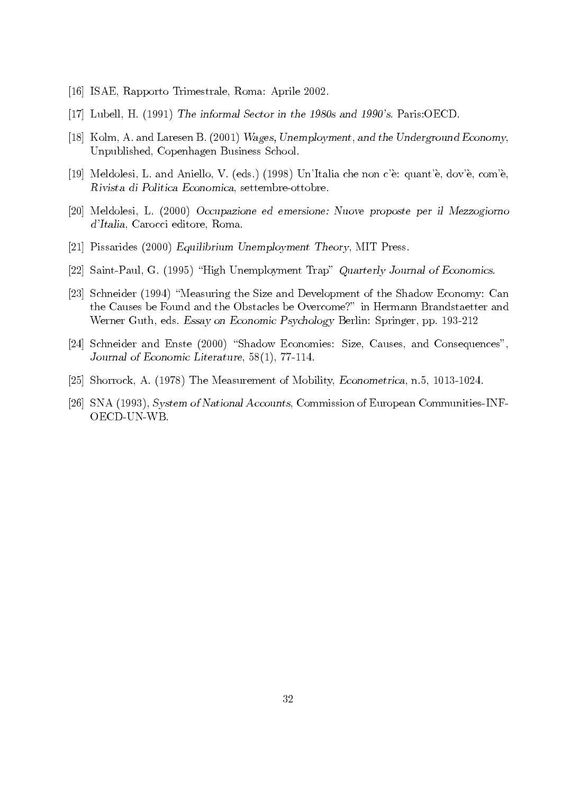- [16] ISAE, Rapporto Trimestrale, Roma: Aprile 2002.
- [17] Lubell, H.  $(1991)$  The informal Sector in the 1980s and 1990's. Paris: OECD.
- [18] Kolm, A. and Laresen B. (2001) Wages, Unemployment, and the Underground Economy, Unpublished, Copenhagen Business School.
- [19] Meldolesi, L. and Aniello, V. (eds.) (1998) Un'Italia che non c'è: quant'è, dov'è, com'è, Rivista di Politica Economica, settembre-ottobre.
- [20] Meldolesi, L. (2000) Occupazione ed emersione: Nuove proposte per il Mezzogiorno d'Italia, Carocci editore, Roma.
- [21] Pissarides (2000) Equilibrium Unemployment Theory, MIT Press.
- [22] Saint-Paul, G. (1995) "High Unemployment Trap" Quarterly Journal of Economics.
- [23] Schneider (1994) "Measuring the Size and Development of the Shadow Economy: Can the Causes be Found and the Obstacles be Overcome?" in Hermann Brandstaetter and Werner Guth, eds. Essay on Economic Psychology Berlin: Springer, pp. 193-212
- [24] Schneider and Enste (2000) "Shadow Economies: Size, Causes, and Consequences", Journal of Economic Literature, 58(1), 77-114.
- [25] Shorrock, A. (1978) The Measurement of Mobility, *Econometrica*, n.5, 1013-1024.
- [26] SNA (1993), System of National Accounts, Commission of European Communities-INF-OECD-UN-WB.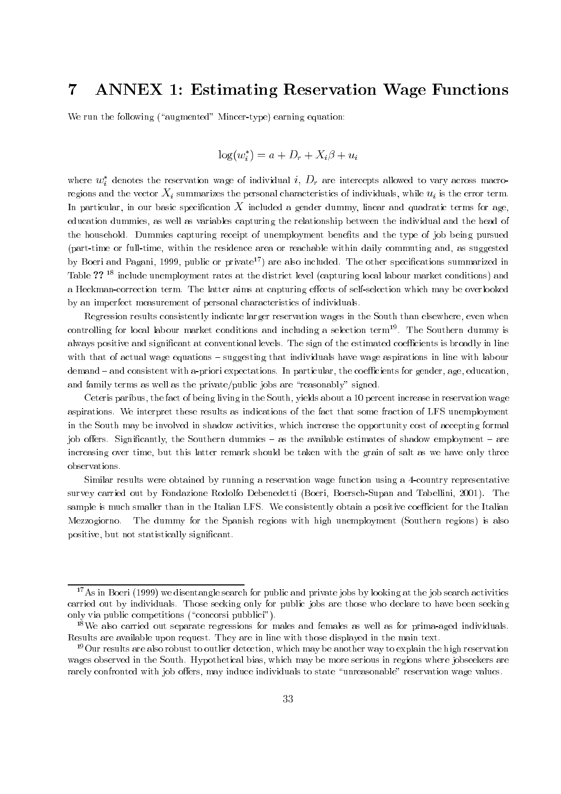### **ANNEX 1: Estimating Reservation Wage Functions**  $\overline{7}$

We run the following ("augmented" Mincer-type) earning equation:

$$
\log(w_i^*) = a + D_r + X_i\beta + u_i
$$

where  $w_i^*$  denotes the reservation wage of individual i,  $D_r$  are intercepts allowed to vary across macroregions and the vector  $X_i$  summarizes the personal characteristics of individuals, while  $u_i$  is the error term. In particular, in our basic specification  $X$  included a gender dummy, linear and quadratic terms for age, education dummies, as well as variables capturing the relationship between the individual and the head of the household. Dummies capturing receipt of unemployment benefits and the type of job being pursued (part-time or full-time, within the residence area or reachable within daily commuting and, as suggested by Boeri and Pagani, 1999, public or private<sup>17</sup>) are also included. The other specifications summarized in Table ?? <sup>18</sup> include unemployment rates at the district level (capturing local labour market conditions) and a Heckman-correction term. The latter aims at capturing effects of self-selection which may be overlooked by an imperfect measurement of personal characteristics of individuals.

Regression results consistently indicate larger reservation wages in the South than elsewhere, even when controlling for local labour market conditions and including a selection term<sup>19</sup>. The Southern dummy is always positive and significant at conventional levels. The sign of the estimated coefficients is broadly in line with that of actual wage equations – suggesting that individuals have wage aspirations in line with labour demand – and consistent with a-priori expectations. In particular, the coefficients for gender, age, education, and family terms as well as the private/public jobs are "reasonably" signed.

Ceteris paribus, the fact of being living in the South, yields about a 10 percent increase in reservation wage aspirations. We interpret these results as indications of the fact that some fraction of LFS unemployment in the South may be involved in shadow activities, which increase the opportunity cost of accepting formal job offers. Significantly, the Southern dummies – as the available estimates of shadow employment – are increasing over time, but this latter remark should be taken with the grain of salt as we have only three observations.

Similar results were obtained by running a reservation wage function using a 4-country representative survey carried out by Fondazione Rodolfo Debenedetti (Boeri, Boersch-Supan and Tabellini, 2001). The sample is much smaller than in the Italian LFS. We consistently obtain a positive coefficient for the Italian The dummy for the Spanish regions with high unemployment (Southern regions) is also Mezzogiorno. positive, but not statistically significant.

<sup>&</sup>lt;sup>17</sup>As in Boeri (1999) we disentangle search for public and private jobs by looking at the job search activities carried out by individuals. Those seeking only for public jobs are those who declare to have been seeking only via public competitions ("concorsi pubblici").

<sup>&</sup>lt;sup>18</sup>We also carried out separate regressions for males and females as well as for prima-aged individuals. Results are available upon request. They are in line with those displayed in the main text.

 $19$  Our results are also robust to outlier detection, which may be another way to explain the high reservation wages observed in the South. Hypothetical bias, which may be more serious in regions where jobseekers are rarely confronted with job offers, may induce individuals to state "unreasonable" reservation wage values.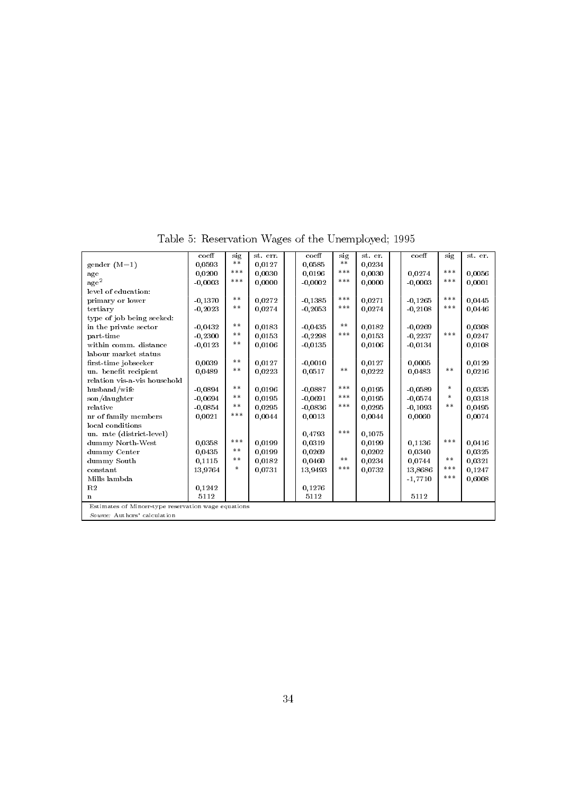|                                                     | $co$ eff  | sig   | st. err. |  | $co$ eff  | sig        | st. er. |  | $co$ eff  | sig    | st. er. |
|-----------------------------------------------------|-----------|-------|----------|--|-----------|------------|---------|--|-----------|--------|---------|
| $gender (M=1)$                                      | 0.0593    | $**$  | 0.0127   |  | 0.0585    | $\ast\ast$ | 0.0234  |  |           |        |         |
| age                                                 | 0.0200    | ***   | 0,0030   |  | 0.0196    | $***$      | 0,0030  |  | 0.0274    | ***    | 0,0056  |
| $\rm age^2$                                         | $-0.0003$ | ***   | 0,0000   |  | $-0.0002$ | $***$      | 0,0000  |  | $-0.0003$ | ***    | 0,0001  |
| level of education:                                 |           |       |          |  |           |            |         |  |           |        |         |
| primary or lower                                    | $-0.1370$ | **    | 0.0272   |  | $-0.1385$ | ***        | 0.0271  |  | $-0.1265$ | ***    | 0,0445  |
| tertiary                                            | $-0.2023$ | $***$ | 0.0274   |  | $-0.2053$ | $***$      | 0.0274  |  | $-0.2108$ | ***    | 0.0446  |
| type of job being seeked:                           |           |       |          |  |           |            |         |  |           |        |         |
| in the private sector                               | $-0.0432$ | **    | 0,0183   |  | $-0.0435$ | **         | 0.0182  |  | $-0.0269$ |        | 0,0308  |
| part-time                                           | $-0,2300$ | **    | 0,0153   |  | $-0.2298$ | ***        | 0,0153  |  | $-0.2237$ | ***    | 0,0247  |
| within comm. distance                               | $-0.0123$ | $***$ | 0,0106   |  | $-0,0135$ |            | 0.0106  |  | $-0.0134$ |        | 0,0108  |
| labour market status                                |           |       |          |  |           |            |         |  |           |        |         |
| first-time jobseeker                                | 0.0039    | **    | 0.0127   |  | $-0,0010$ |            | 0.0127  |  | 0.0005    |        | 0.0129  |
| un. benefit recipient                               | 0.0489    | $***$ | 0.0223   |  | 0.0517    | **         | 0.0222  |  | 0.0483    | **     | 0.0216  |
| relation vis-a-vis household                        |           |       |          |  |           |            |         |  |           |        |         |
| husband/wife                                        | $-0,0894$ | **    | 0,0196   |  | $-0,0887$ | $***$      | 0,0195  |  | $-0.0589$ | $\ast$ | 0,0335  |
| $\frac{\text{son}}{\text{day}}$                     | $-0.0694$ | **    | 0,0195   |  | $-0.0691$ | $***$      | 0,0195  |  | $-0.0574$ | *      | 0.0318  |
| relative                                            | $-0.0854$ | $***$ | 0.0295   |  | $-0.0836$ | ***        | 0.0295  |  | $-0.1093$ | $***$  | 0,0495  |
| nr of family members                                | 0.0021    | ***   | 0.0044   |  | 0.0013    |            | 0.0044  |  | 0,0060    |        | 0.0074  |
| local conditions                                    |           |       |          |  |           |            |         |  |           |        |         |
| un. rate (district-level)                           |           |       |          |  | 0.4793    | $***$      | 0.1075  |  |           |        |         |
| dummy North-West                                    | 0,0358    | ***   | 0,0199   |  | 0.0319    |            | 0.0199  |  | 0.1136    | ***    | 0.0416  |
| dummy Center                                        | 0.0435    | $***$ | 0.0199   |  | 0.0269    |            | 0,0202  |  | 0.0340    |        | 0.0325  |
| dummy South                                         | 0.1115    | $***$ | 0,0182   |  | 0.0460    | $***$      | 0,0234  |  | 0.0744    | $* *$  | 0,0321  |
| constant                                            | 13,9764   | *     | 0,0731   |  | 13,9493   | ***        | 0,0732  |  | 13,8686   | ***    | 0,1247  |
| Mills lambda                                        |           |       |          |  |           |            |         |  | $-1,7710$ | ***    | 0,6008  |
| R2                                                  | 0.1242    |       |          |  | 0.1276    |            |         |  |           |        |         |
| $\mathbf{n}$                                        | 5112      |       |          |  | 5112      |            |         |  | 5112      |        |         |
| Estimates of Mincer-type reservation wage equations |           |       |          |  |           |            |         |  |           |        |         |
| Source: Authors' calculation                        |           |       |          |  |           |            |         |  |           |        |         |

Table 5: Reservation Wages of the Unemployed; 1995